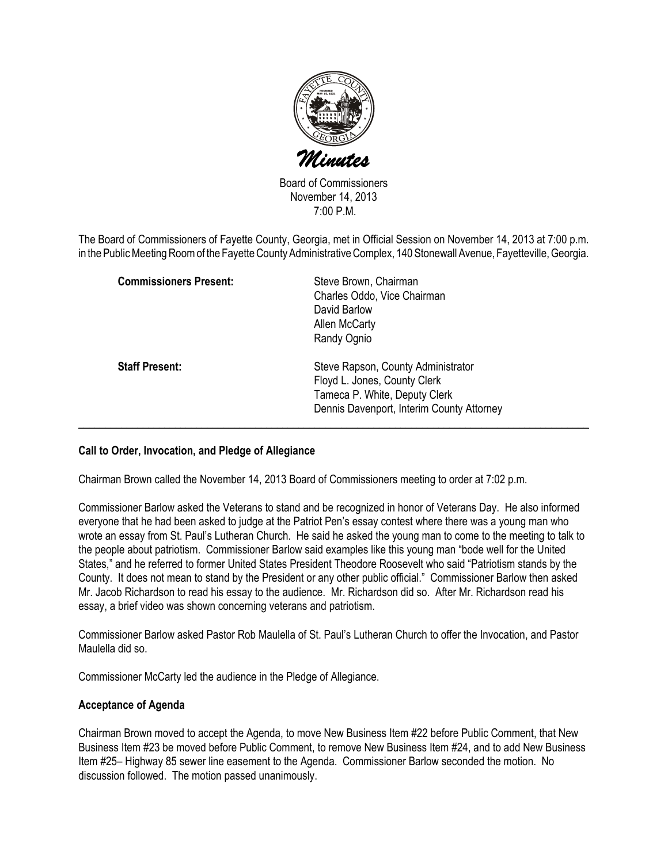

Board of Commissioners November 14, 2013 7:00 P.M.

The Board of Commissioners of Fayette County, Georgia, met in Official Session on November 14, 2013 at 7:00 p.m. in the Public Meeting Room of the Fayette County Administrative Complex, 140 Stonewall Avenue, Fayetteville, Georgia.

| <b>Commissioners Present:</b> | Steve Brown, Chairman<br>Charles Oddo, Vice Chairman<br>David Barlow<br>Allen McCarty<br>Randy Ognio                                             |
|-------------------------------|--------------------------------------------------------------------------------------------------------------------------------------------------|
| <b>Staff Present:</b>         | Steve Rapson, County Administrator<br>Floyd L. Jones, County Clerk<br>Tameca P. White, Deputy Clerk<br>Dennis Davenport, Interim County Attorney |

#### Call to Order, Invocation, and Pledge of Allegiance

Chairman Brown called the November 14, 2013 Board of Commissioners meeting to order at 7:02 p.m.

Commissioner Barlow asked the Veterans to stand and be recognized in honor of Veterans Day. He also informed everyone that he had been asked to judge at the Patriot Pen's essay contest where there was a young man who wrote an essay from St. Paul's Lutheran Church. He said he asked the young man to come to the meeting to talk to the people about patriotism. Commissioner Barlow said examples like this young man "bode well for the United States," and he referred to former United States President Theodore Roosevelt who said "Patriotism stands by the County. It does not mean to stand by the President or any other public official." Commissioner Barlow then asked Mr. Jacob Richardson to read his essay to the audience. Mr. Richardson did so. After Mr. Richardson read his essay, a brief video was shown concerning veterans and patriotism.

Commissioner Barlow asked Pastor Rob Maulella of St. Paul's Lutheran Church to offer the Invocation, and Pastor Maulella did so.

Commissioner McCarty led the audience in the Pledge of Allegiance.

#### Acceptance of Agenda

Chairman Brown moved to accept the Agenda, to move New Business Item #22 before Public Comment, that New Business Item #23 be moved before Public Comment, to remove New Business Item #24, and to add New Business Item #25– Highway 85 sewer line easement to the Agenda. Commissioner Barlow seconded the motion. No discussion followed. The motion passed unanimously.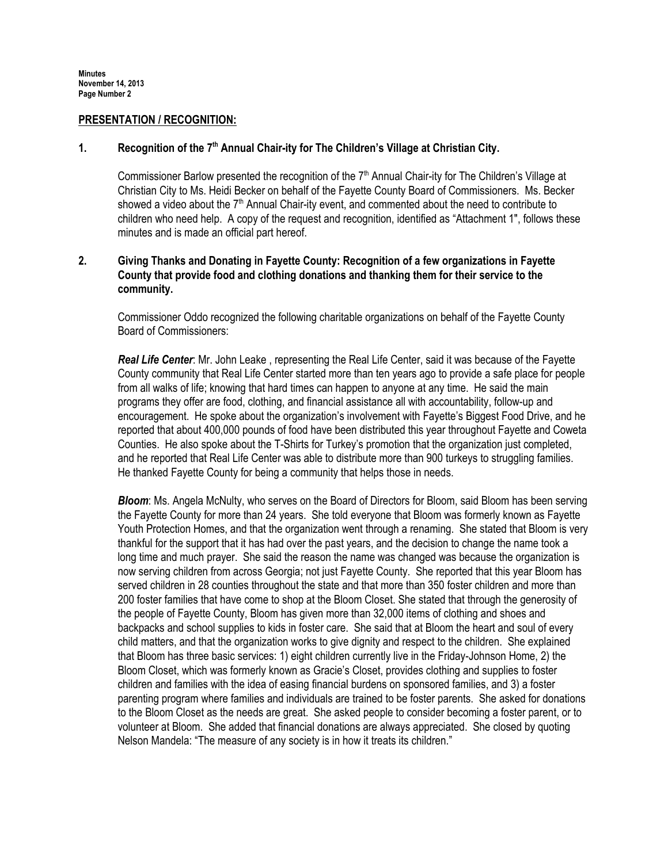#### PRESENTATION / RECOGNITION:

### 1. Recognition of the 7<sup>th</sup> Annual Chair-ity for The Children's Village at Christian City.

Commissioner Barlow presented the recognition of the  $7<sup>th</sup>$  Annual Chair-ity for The Children's Village at Christian City to Ms. Heidi Becker on behalf of the Fayette County Board of Commissioners. Ms. Becker showed a video about the  $7<sup>th</sup>$  Annual Chair-ity event, and commented about the need to contribute to children who need help. A copy of the request and recognition, identified as "Attachment 1", follows these minutes and is made an official part hereof.

### 2. Giving Thanks and Donating in Fayette County: Recognition of a few organizations in Fayette County that provide food and clothing donations and thanking them for their service to the community.

Commissioner Oddo recognized the following charitable organizations on behalf of the Fayette County Board of Commissioners:

Real Life Center: Mr. John Leake, representing the Real Life Center, said it was because of the Fayette County community that Real Life Center started more than ten years ago to provide a safe place for people from all walks of life; knowing that hard times can happen to anyone at any time. He said the main programs they offer are food, clothing, and financial assistance all with accountability, follow-up and encouragement. He spoke about the organization's involvement with Fayette's Biggest Food Drive, and he reported that about 400,000 pounds of food have been distributed this year throughout Fayette and Coweta Counties. He also spoke about the T-Shirts for Turkey's promotion that the organization just completed, and he reported that Real Life Center was able to distribute more than 900 turkeys to struggling families. He thanked Fayette County for being a community that helps those in needs.

**Bloom:** Ms. Angela McNulty, who serves on the Board of Directors for Bloom, said Bloom has been serving the Fayette County for more than 24 years. She told everyone that Bloom was formerly known as Fayette Youth Protection Homes, and that the organization went through a renaming. She stated that Bloom is very thankful for the support that it has had over the past years, and the decision to change the name took a long time and much prayer. She said the reason the name was changed was because the organization is now serving children from across Georgia; not just Fayette County. She reported that this year Bloom has served children in 28 counties throughout the state and that more than 350 foster children and more than 200 foster families that have come to shop at the Bloom Closet. She stated that through the generosity of the people of Fayette County, Bloom has given more than 32,000 items of clothing and shoes and backpacks and school supplies to kids in foster care. She said that at Bloom the heart and soul of every child matters, and that the organization works to give dignity and respect to the children. She explained that Bloom has three basic services: 1) eight children currently live in the Friday-Johnson Home, 2) the Bloom Closet, which was formerly known as Gracie's Closet, provides clothing and supplies to foster children and families with the idea of easing financial burdens on sponsored families, and 3) a foster parenting program where families and individuals are trained to be foster parents. She asked for donations to the Bloom Closet as the needs are great. She asked people to consider becoming a foster parent, or to volunteer at Bloom. She added that financial donations are always appreciated. She closed by quoting Nelson Mandela: "The measure of any society is in how it treats its children."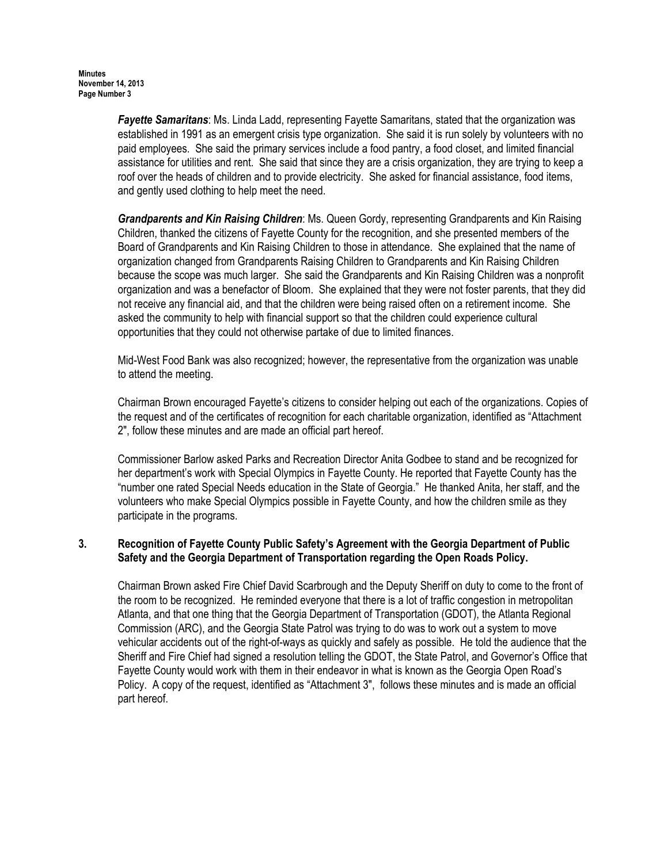**Fayette Samaritans:** Ms. Linda Ladd, representing Fayette Samaritans, stated that the organization was established in 1991 as an emergent crisis type organization. She said it is run solely by volunteers with no paid employees. She said the primary services include a food pantry, a food closet, and limited financial assistance for utilities and rent. She said that since they are a crisis organization, they are trying to keep a roof over the heads of children and to provide electricity. She asked for financial assistance, food items, and gently used clothing to help meet the need.

Grandparents and Kin Raising Children: Ms. Queen Gordy, representing Grandparents and Kin Raising Children, thanked the citizens of Fayette County for the recognition, and she presented members of the Board of Grandparents and Kin Raising Children to those in attendance. She explained that the name of organization changed from Grandparents Raising Children to Grandparents and Kin Raising Children because the scope was much larger. She said the Grandparents and Kin Raising Children was a nonprofit organization and was a benefactor of Bloom. She explained that they were not foster parents, that they did not receive any financial aid, and that the children were being raised often on a retirement income. She asked the community to help with financial support so that the children could experience cultural opportunities that they could not otherwise partake of due to limited finances.

Mid-West Food Bank was also recognized; however, the representative from the organization was unable to attend the meeting.

Chairman Brown encouraged Fayette's citizens to consider helping out each of the organizations. Copies of the request and of the certificates of recognition for each charitable organization, identified as "Attachment 2", follow these minutes and are made an official part hereof.

Commissioner Barlow asked Parks and Recreation Director Anita Godbee to stand and be recognized for her department's work with Special Olympics in Fayette County. He reported that Fayette County has the "number one rated Special Needs education in the State of Georgia." He thanked Anita, her staff, and the volunteers who make Special Olympics possible in Fayette County, and how the children smile as they participate in the programs.

## 3. Recognition of Fayette County Public Safety's Agreement with the Georgia Department of Public Safety and the Georgia Department of Transportation regarding the Open Roads Policy.

Chairman Brown asked Fire Chief David Scarbrough and the Deputy Sheriff on duty to come to the front of the room to be recognized. He reminded everyone that there is a lot of traffic congestion in metropolitan Atlanta, and that one thing that the Georgia Department of Transportation (GDOT), the Atlanta Regional Commission (ARC), and the Georgia State Patrol was trying to do was to work out a system to move vehicular accidents out of the right-of-ways as quickly and safely as possible. He told the audience that the Sheriff and Fire Chief had signed a resolution telling the GDOT, the State Patrol, and Governor's Office that Fayette County would work with them in their endeavor in what is known as the Georgia Open Road's Policy. A copy of the request, identified as "Attachment 3", follows these minutes and is made an official part hereof.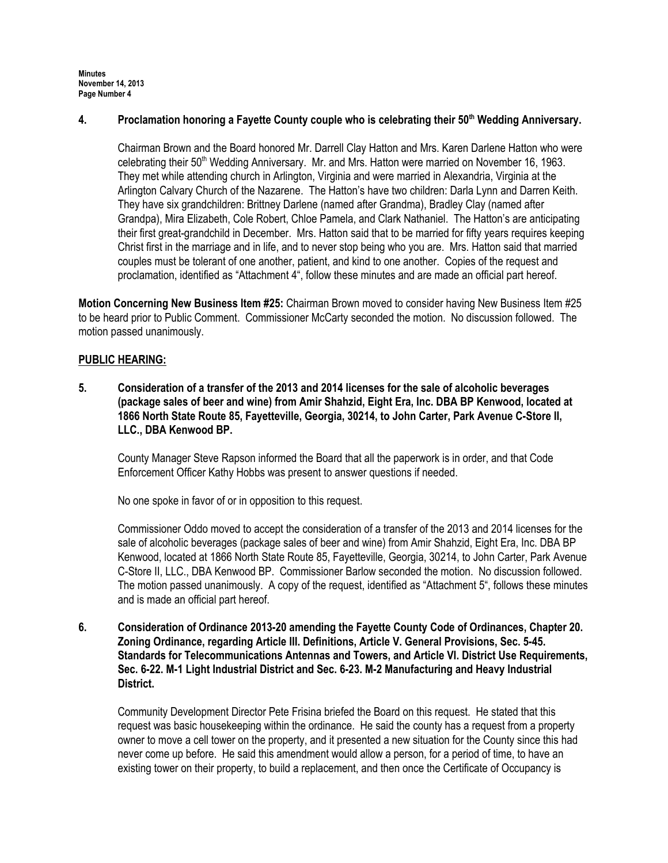### 4. Proclamation honoring a Fayette County couple who is celebrating their 50<sup>th</sup> Wedding Anniversary.

Chairman Brown and the Board honored Mr. Darrell Clay Hatton and Mrs. Karen Darlene Hatton who were celebrating their  $50<sup>th</sup>$  Wedding Anniversary. Mr. and Mrs. Hatton were married on November 16, 1963. They met while attending church in Arlington, Virginia and were married in Alexandria, Virginia at the Arlington Calvary Church of the Nazarene. The Hatton's have two children: Darla Lynn and Darren Keith. They have six grandchildren: Brittney Darlene (named after Grandma), Bradley Clay (named after Grandpa), Mira Elizabeth, Cole Robert, Chloe Pamela, and Clark Nathaniel. The Hatton's are anticipating their first great-grandchild in December. Mrs. Hatton said that to be married for fifty years requires keeping Christ first in the marriage and in life, and to never stop being who you are. Mrs. Hatton said that married couples must be tolerant of one another, patient, and kind to one another. Copies of the request and proclamation, identified as "Attachment 4", follow these minutes and are made an official part hereof.

Motion Concerning New Business Item #25: Chairman Brown moved to consider having New Business Item #25 to be heard prior to Public Comment. Commissioner McCarty seconded the motion. No discussion followed. The motion passed unanimously.

## PUBLIC HEARING:

5. Consideration of a transfer of the 2013 and 2014 licenses for the sale of alcoholic beverages (package sales of beer and wine) from Amir Shahzid, Eight Era, Inc. DBA BP Kenwood, located at 1866 North State Route 85, Fayetteville, Georgia, 30214, to John Carter, Park Avenue C-Store II, LLC., DBA Kenwood BP.

County Manager Steve Rapson informed the Board that all the paperwork is in order, and that Code Enforcement Officer Kathy Hobbs was present to answer questions if needed.

No one spoke in favor of or in opposition to this request.

Commissioner Oddo moved to accept the consideration of a transfer of the 2013 and 2014 licenses for the sale of alcoholic beverages (package sales of beer and wine) from Amir Shahzid, Eight Era, Inc. DBA BP Kenwood, located at 1866 North State Route 85, Fayetteville, Georgia, 30214, to John Carter, Park Avenue C-Store II, LLC., DBA Kenwood BP. Commissioner Barlow seconded the motion. No discussion followed. The motion passed unanimously. A copy of the request, identified as "Attachment 5", follows these minutes and is made an official part hereof.

6. Consideration of Ordinance 2013-20 amending the Fayette County Code of Ordinances, Chapter 20. Zoning Ordinance, regarding Article III. Definitions, Article V. General Provisions, Sec. 5-45. Standards for Telecommunications Antennas and Towers, and Article VI. District Use Requirements, Sec. 6-22. M-1 Light Industrial District and Sec. 6-23. M-2 Manufacturing and Heavy Industrial District.

Community Development Director Pete Frisina briefed the Board on this request. He stated that this request was basic housekeeping within the ordinance. He said the county has a request from a property owner to move a cell tower on the property, and it presented a new situation for the County since this had never come up before. He said this amendment would allow a person, for a period of time, to have an existing tower on their property, to build a replacement, and then once the Certificate of Occupancy is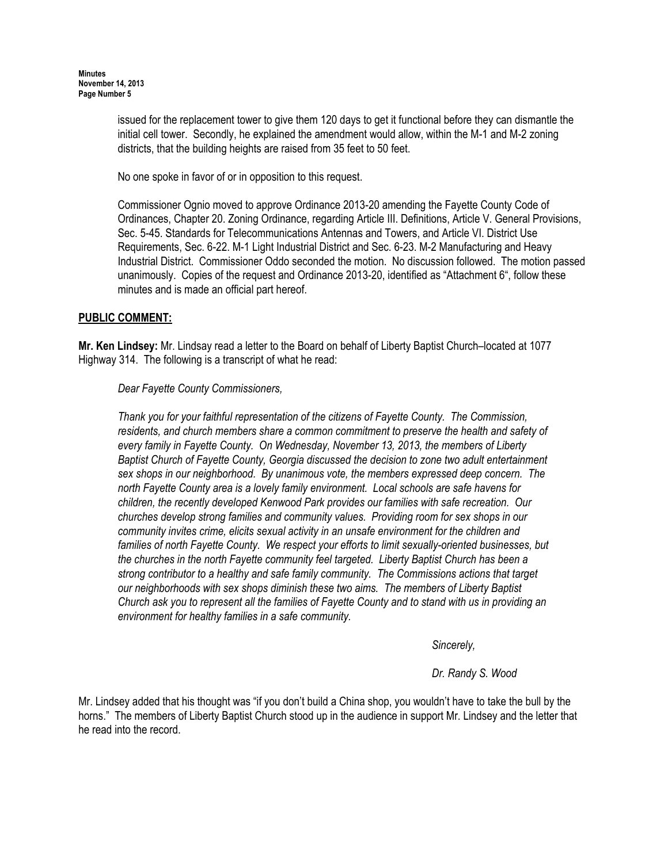issued for the replacement tower to give them 120 days to get it functional before they can dismantle the initial cell tower. Secondly, he explained the amendment would allow, within the M-1 and M-2 zoning districts, that the building heights are raised from 35 feet to 50 feet.

No one spoke in favor of or in opposition to this request.

Commissioner Ognio moved to approve Ordinance 2013-20 amending the Fayette County Code of Ordinances, Chapter 20. Zoning Ordinance, regarding Article III. Definitions, Article V. General Provisions, Sec. 5-45. Standards for Telecommunications Antennas and Towers, and Article VI. District Use Requirements, Sec. 6-22. M-1 Light Industrial District and Sec. 6-23. M-2 Manufacturing and Heavy Industrial District. Commissioner Oddo seconded the motion. No discussion followed. The motion passed unanimously. Copies of the request and Ordinance 2013-20, identified as "Attachment 6", follow these minutes and is made an official part hereof.

## PUBLIC COMMENT:

Mr. Ken Lindsey: Mr. Lindsay read a letter to the Board on behalf of Liberty Baptist Church–located at 1077 Highway 314. The following is a transcript of what he read:

Dear Fayette County Commissioners,

Thank you for your faithful representation of the citizens of Fayette County. The Commission, residents, and church members share a common commitment to preserve the health and safety of every family in Fayette County. On Wednesday, November 13, 2013, the members of Liberty Baptist Church of Fayette County, Georgia discussed the decision to zone two adult entertainment sex shops in our neighborhood. By unanimous vote, the members expressed deep concern. The north Fayette County area is a lovely family environment. Local schools are safe havens for children, the recently developed Kenwood Park provides our families with safe recreation. Our churches develop strong families and community values. Providing room for sex shops in our community invites crime, elicits sexual activity in an unsafe environment for the children and families of north Fayette County. We respect your efforts to limit sexually-oriented businesses, but the churches in the north Fayette community feel targeted. Liberty Baptist Church has been a strong contributor to a healthy and safe family community. The Commissions actions that target our neighborhoods with sex shops diminish these two aims. The members of Liberty Baptist Church ask you to represent all the families of Fayette County and to stand with us in providing an environment for healthy families in a safe community.

Sincerely,

Dr. Randy S. Wood

Mr. Lindsey added that his thought was "if you don't build a China shop, you wouldn't have to take the bull by the horns." The members of Liberty Baptist Church stood up in the audience in support Mr. Lindsey and the letter that he read into the record.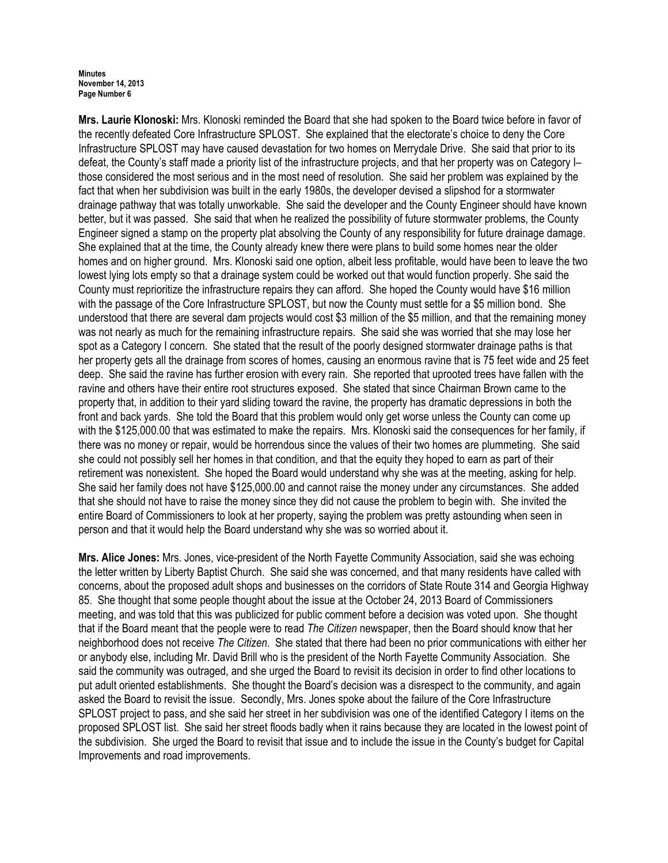Mrs. Laurie Klonoski: Mrs. Klonoski reminded the Board that she had spoken to the Board twice before in favor of the recently defeated Core Infrastructure SPLOST. She explained that the electorate's choice to deny the Core Infrastructure SPLOST may have caused devastation for two homes on Merrydale Drive. She said that prior to its defeat, the County's staff made a priority list of the infrastructure projects, and that her property was on Category I– those considered the most serious and in the most need of resolution. She said her problem was explained by the fact that when her subdivision was built in the early 1980s, the developer devised a slipshod for a stormwater drainage pathway that was totally unworkable. She said the developer and the County Engineer should have known better, but it was passed. She said that when he realized the possibility of future stormwater problems, the County Engineer signed a stamp on the property plat absolving the County of any responsibility for future drainage damage. She explained that at the time, the County already knew there were plans to build some homes near the older homes and on higher ground. Mrs. Klonoski said one option, albeit less profitable, would have been to leave the two lowest lying lots empty so that a drainage system could be worked out that would function properly. She said the County must reprioritize the infrastructure repairs they can afford. She hoped the County would have \$16 million with the passage of the Core Infrastructure SPLOST, but now the County must settle for a \$5 million bond. She understood that there are several dam projects would cost \$3 million of the \$5 million, and that the remaining money was not nearly as much for the remaining infrastructure repairs. She said she was worried that she may lose her spot as a Category I concern. She stated that the result of the poorly designed stormwater drainage paths is that her property gets all the drainage from scores of homes, causing an enormous ravine that is 75 feet wide and 25 feet deep. She said the ravine has further erosion with every rain. She reported that uprooted trees have fallen with the ravine and others have their entire root structures exposed. She stated that since Chairman Brown came to the property that, in addition to their yard sliding toward the ravine, the property has dramatic depressions in both the front and back yards. She told the Board that this problem would only get worse unless the County can come up with the \$125,000.00 that was estimated to make the repairs. Mrs. Klonoski said the consequences for her family, if there was no money or repair, would be horrendous since the values of their two homes are plummeting. She said she could not possibly sell her homes in that condition, and that the equity they hoped to earn as part of their retirement was nonexistent. She hoped the Board would understand why she was at the meeting, asking for help. She said her family does not have \$125,000.00 and cannot raise the money under any circumstances. She added that she should not have to raise the money since they did not cause the problem to begin with. She invited the entire Board of Commissioners to look at her property, saying the problem was pretty astounding when seen in person and that it would help the Board understand why she was so worried about it.

Mrs. Alice Jones: Mrs. Jones, vice-president of the North Fayette Community Association, said she was echoing the letter written by Liberty Baptist Church. She said she was concerned, and that many residents have called with concerns, about the proposed adult shops and businesses on the corridors of State Route 314 and Georgia Highway 85. She thought that some people thought about the issue at the October 24, 2013 Board of Commissioners meeting, and was told that this was publicized for public comment before a decision was voted upon. She thought that if the Board meant that the people were to read The Citizen newspaper, then the Board should know that her neighborhood does not receive The Citizen. She stated that there had been no prior communications with either her or anybody else, including Mr. David Brill who is the president of the North Fayette Community Association. She said the community was outraged, and she urged the Board to revisit its decision in order to find other locations to put adult oriented establishments. She thought the Board's decision was a disrespect to the community, and again asked the Board to revisit the issue. Secondly, Mrs. Jones spoke about the failure of the Core Infrastructure SPLOST project to pass, and she said her street in her subdivision was one of the identified Category I items on the proposed SPLOST list. She said her street floods badly when it rains because they are located in the lowest point of the subdivision. She urged the Board to revisit that issue and to include the issue in the County's budget for Capital Improvements and road improvements.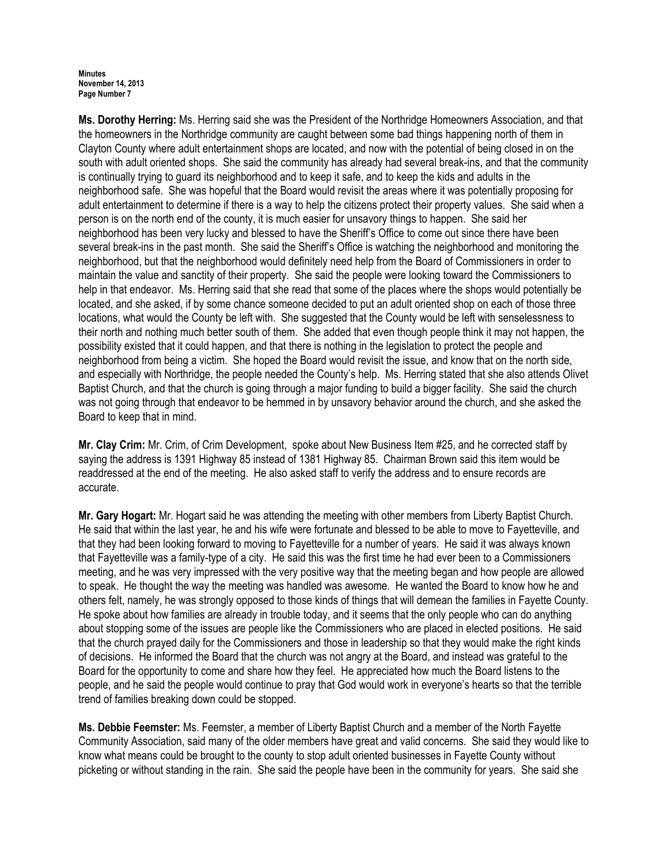Ms. Dorothy Herring: Ms. Herring said she was the President of the Northridge Homeowners Association, and that the homeowners in the Northridge community are caught between some bad things happening north of them in Clayton County where adult entertainment shops are located, and now with the potential of being closed in on the south with adult oriented shops. She said the community has already had several break-ins, and that the community is continually trying to guard its neighborhood and to keep it safe, and to keep the kids and adults in the neighborhood safe. She was hopeful that the Board would revisit the areas where it was potentially proposing for adult entertainment to determine if there is a way to help the citizens protect their property values. She said when a person is on the north end of the county, it is much easier for unsavory things to happen. She said her neighborhood has been very lucky and blessed to have the Sheriff's Office to come out since there have been several break-ins in the past month. She said the Sheriff's Office is watching the neighborhood and monitoring the neighborhood, but that the neighborhood would definitely need help from the Board of Commissioners in order to maintain the value and sanctity of their property. She said the people were looking toward the Commissioners to help in that endeavor. Ms. Herring said that she read that some of the places where the shops would potentially be located, and she asked, if by some chance someone decided to put an adult oriented shop on each of those three locations, what would the County be left with. She suggested that the County would be left with senselessness to their north and nothing much better south of them. She added that even though people think it may not happen, the possibility existed that it could happen, and that there is nothing in the legislation to protect the people and neighborhood from being a victim. She hoped the Board would revisit the issue, and know that on the north side, and especially with Northridge, the people needed the County's help. Ms. Herring stated that she also attends Olivet Baptist Church, and that the church is going through a major funding to build a bigger facility. She said the church was not going through that endeavor to be hemmed in by unsavory behavior around the church, and she asked the Board to keep that in mind.

Mr. Clay Crim: Mr. Crim, of Crim Development, spoke about New Business Item #25, and he corrected staff by saying the address is 1391 Highway 85 instead of 1381 Highway 85. Chairman Brown said this item would be readdressed at the end of the meeting. He also asked staff to verify the address and to ensure records are accurate.

Mr. Gary Hogart: Mr. Hogart said he was attending the meeting with other members from Liberty Baptist Church. He said that within the last year, he and his wife were fortunate and blessed to be able to move to Fayetteville, and that they had been looking forward to moving to Fayetteville for a number of years. He said it was always known that Fayetteville was a family-type of a city. He said this was the first time he had ever been to a Commissioners meeting, and he was very impressed with the very positive way that the meeting began and how people are allowed to speak. He thought the way the meeting was handled was awesome. He wanted the Board to know how he and others felt, namely, he was strongly opposed to those kinds of things that will demean the families in Fayette County. He spoke about how families are already in trouble today, and it seems that the only people who can do anything about stopping some of the issues are people like the Commissioners who are placed in elected positions. He said that the church prayed daily for the Commissioners and those in leadership so that they would make the right kinds of decisions. He informed the Board that the church was not angry at the Board, and instead was grateful to the Board for the opportunity to come and share how they feel. He appreciated how much the Board listens to the people, and he said the people would continue to pray that God would work in everyone's hearts so that the terrible trend of families breaking down could be stopped.

Ms. Debbie Feemster: Ms. Feemster, a member of Liberty Baptist Church and a member of the North Fayette Community Association, said many of the older members have great and valid concerns. She said they would like to know what means could be brought to the county to stop adult oriented businesses in Fayette County without picketing or without standing in the rain. She said the people have been in the community for years. She said she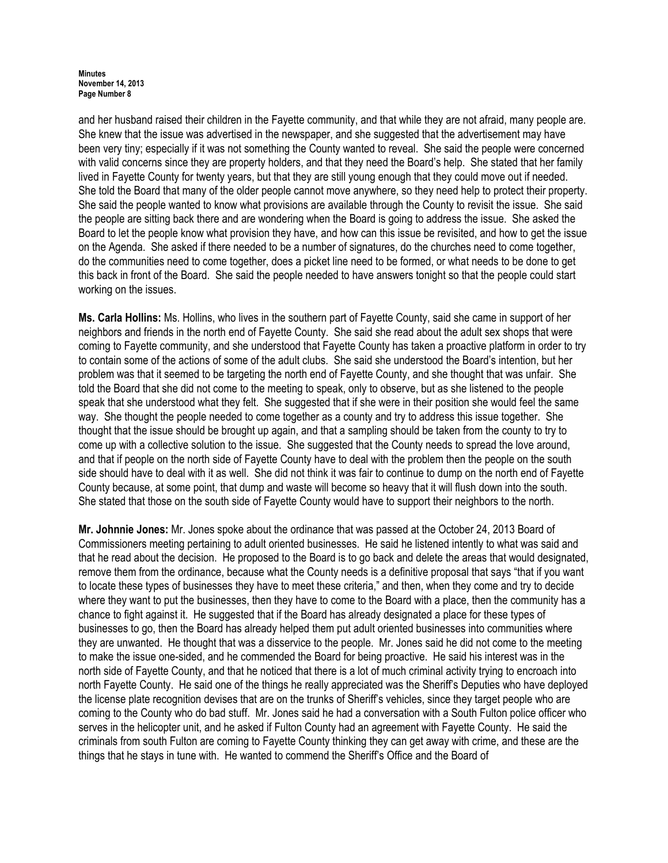and her husband raised their children in the Fayette community, and that while they are not afraid, many people are. She knew that the issue was advertised in the newspaper, and she suggested that the advertisement may have been very tiny; especially if it was not something the County wanted to reveal. She said the people were concerned with valid concerns since they are property holders, and that they need the Board's help. She stated that her family lived in Fayette County for twenty years, but that they are still young enough that they could move out if needed. She told the Board that many of the older people cannot move anywhere, so they need help to protect their property. She said the people wanted to know what provisions are available through the County to revisit the issue. She said the people are sitting back there and are wondering when the Board is going to address the issue. She asked the Board to let the people know what provision they have, and how can this issue be revisited, and how to get the issue on the Agenda. She asked if there needed to be a number of signatures, do the churches need to come together, do the communities need to come together, does a picket line need to be formed, or what needs to be done to get this back in front of the Board. She said the people needed to have answers tonight so that the people could start working on the issues.

Ms. Carla Hollins: Ms. Hollins, who lives in the southern part of Fayette County, said she came in support of her neighbors and friends in the north end of Fayette County. She said she read about the adult sex shops that were coming to Fayette community, and she understood that Fayette County has taken a proactive platform in order to try to contain some of the actions of some of the adult clubs. She said she understood the Board's intention, but her problem was that it seemed to be targeting the north end of Fayette County, and she thought that was unfair. She told the Board that she did not come to the meeting to speak, only to observe, but as she listened to the people speak that she understood what they felt. She suggested that if she were in their position she would feel the same way. She thought the people needed to come together as a county and try to address this issue together. She thought that the issue should be brought up again, and that a sampling should be taken from the county to try to come up with a collective solution to the issue. She suggested that the County needs to spread the love around, and that if people on the north side of Fayette County have to deal with the problem then the people on the south side should have to deal with it as well. She did not think it was fair to continue to dump on the north end of Fayette County because, at some point, that dump and waste will become so heavy that it will flush down into the south. She stated that those on the south side of Fayette County would have to support their neighbors to the north.

Mr. Johnnie Jones: Mr. Jones spoke about the ordinance that was passed at the October 24, 2013 Board of Commissioners meeting pertaining to adult oriented businesses. He said he listened intently to what was said and that he read about the decision. He proposed to the Board is to go back and delete the areas that would designated, remove them from the ordinance, because what the County needs is a definitive proposal that says "that if you want to locate these types of businesses they have to meet these criteria," and then, when they come and try to decide where they want to put the businesses, then they have to come to the Board with a place, then the community has a chance to fight against it. He suggested that if the Board has already designated a place for these types of businesses to go, then the Board has already helped them put adult oriented businesses into communities where they are unwanted. He thought that was a disservice to the people. Mr. Jones said he did not come to the meeting to make the issue one-sided, and he commended the Board for being proactive. He said his interest was in the north side of Fayette County, and that he noticed that there is a lot of much criminal activity trying to encroach into north Fayette County. He said one of the things he really appreciated was the Sheriff's Deputies who have deployed the license plate recognition devises that are on the trunks of Sheriff's vehicles, since they target people who are coming to the County who do bad stuff. Mr. Jones said he had a conversation with a South Fulton police officer who serves in the helicopter unit, and he asked if Fulton County had an agreement with Fayette County. He said the criminals from south Fulton are coming to Fayette County thinking they can get away with crime, and these are the things that he stays in tune with. He wanted to commend the Sheriff's Office and the Board of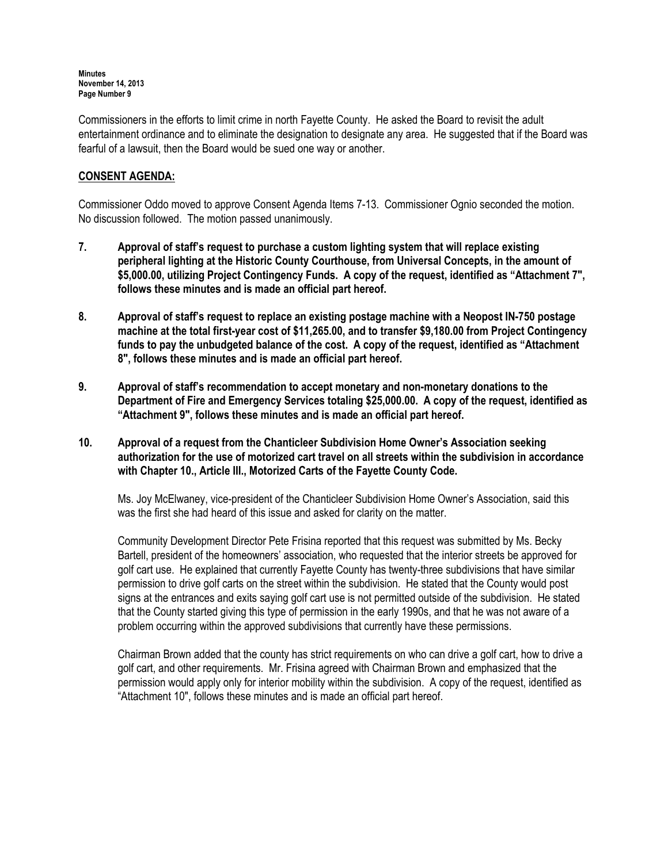Commissioners in the efforts to limit crime in north Fayette County. He asked the Board to revisit the adult entertainment ordinance and to eliminate the designation to designate any area. He suggested that if the Board was fearful of a lawsuit, then the Board would be sued one way or another.

# CONSENT AGENDA:

Commissioner Oddo moved to approve Consent Agenda Items 7-13. Commissioner Ognio seconded the motion. No discussion followed. The motion passed unanimously.

- 7. Approval of staff's request to purchase a custom lighting system that will replace existing peripheral lighting at the Historic County Courthouse, from Universal Concepts, in the amount of \$5,000.00, utilizing Project Contingency Funds. A copy of the request, identified as "Attachment 7", follows these minutes and is made an official part hereof.
- 8. Approval of staff's request to replace an existing postage machine with a Neopost IN-750 postage machine at the total first-year cost of \$11,265.00, and to transfer \$9,180.00 from Project Contingency funds to pay the unbudgeted balance of the cost. A copy of the request, identified as "Attachment 8", follows these minutes and is made an official part hereof.
- 9. Approval of staff's recommendation to accept monetary and non-monetary donations to the Department of Fire and Emergency Services totaling \$25,000.00. A copy of the request, identified as "Attachment 9", follows these minutes and is made an official part hereof.
- 10. Approval of a request from the Chanticleer Subdivision Home Owner's Association seeking authorization for the use of motorized cart travel on all streets within the subdivision in accordance with Chapter 10., Article III., Motorized Carts of the Fayette County Code.

Ms. Joy McElwaney, vice-president of the Chanticleer Subdivision Home Owner's Association, said this was the first she had heard of this issue and asked for clarity on the matter.

Community Development Director Pete Frisina reported that this request was submitted by Ms. Becky Bartell, president of the homeowners' association, who requested that the interior streets be approved for golf cart use. He explained that currently Fayette County has twenty-three subdivisions that have similar permission to drive golf carts on the street within the subdivision. He stated that the County would post signs at the entrances and exits saying golf cart use is not permitted outside of the subdivision. He stated that the County started giving this type of permission in the early 1990s, and that he was not aware of a problem occurring within the approved subdivisions that currently have these permissions.

Chairman Brown added that the county has strict requirements on who can drive a golf cart, how to drive a golf cart, and other requirements. Mr. Frisina agreed with Chairman Brown and emphasized that the permission would apply only for interior mobility within the subdivision. A copy of the request, identified as "Attachment 10", follows these minutes and is made an official part hereof.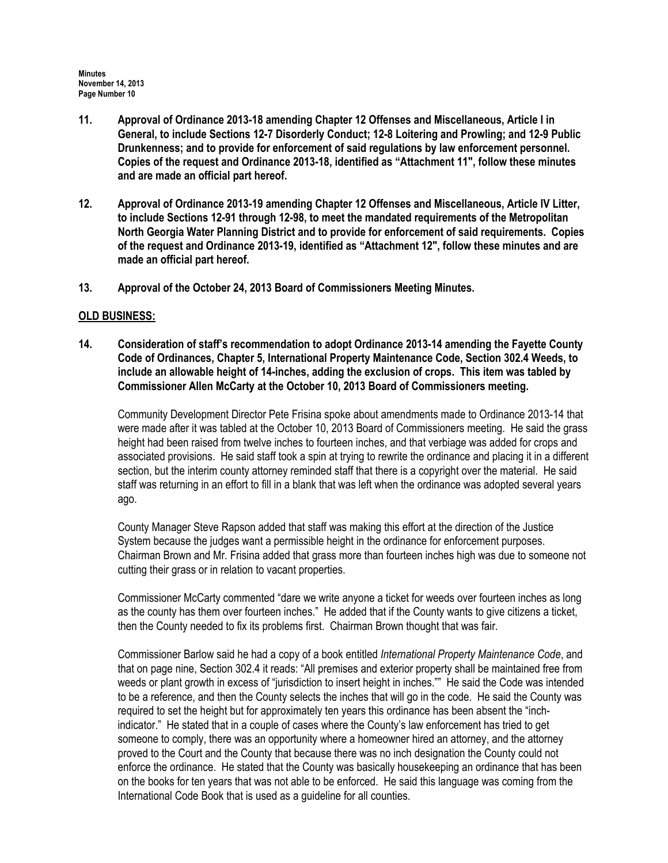- 11. Approval of Ordinance 2013-18 amending Chapter 12 Offenses and Miscellaneous, Article I in General, to include Sections 12-7 Disorderly Conduct; 12-8 Loitering and Prowling; and 12-9 Public Drunkenness; and to provide for enforcement of said regulations by law enforcement personnel. Copies of the request and Ordinance 2013-18, identified as "Attachment 11", follow these minutes and are made an official part hereof.
- 12. Approval of Ordinance 2013-19 amending Chapter 12 Offenses and Miscellaneous, Article IV Litter, to include Sections 12-91 through 12-98, to meet the mandated requirements of the Metropolitan North Georgia Water Planning District and to provide for enforcement of said requirements. Copies of the request and Ordinance 2013-19, identified as "Attachment 12", follow these minutes and are made an official part hereof.
- 13. Approval of the October 24, 2013 Board of Commissioners Meeting Minutes.

# OLD BUSINESS:

14. Consideration of staff's recommendation to adopt Ordinance 2013-14 amending the Fayette County Code of Ordinances, Chapter 5, International Property Maintenance Code, Section 302.4 Weeds, to include an allowable height of 14-inches, adding the exclusion of crops. This item was tabled by Commissioner Allen McCarty at the October 10, 2013 Board of Commissioners meeting.

Community Development Director Pete Frisina spoke about amendments made to Ordinance 2013-14 that were made after it was tabled at the October 10, 2013 Board of Commissioners meeting. He said the grass height had been raised from twelve inches to fourteen inches, and that verbiage was added for crops and associated provisions. He said staff took a spin at trying to rewrite the ordinance and placing it in a different section, but the interim county attorney reminded staff that there is a copyright over the material. He said staff was returning in an effort to fill in a blank that was left when the ordinance was adopted several years ago.

County Manager Steve Rapson added that staff was making this effort at the direction of the Justice System because the judges want a permissible height in the ordinance for enforcement purposes. Chairman Brown and Mr. Frisina added that grass more than fourteen inches high was due to someone not cutting their grass or in relation to vacant properties.

Commissioner McCarty commented "dare we write anyone a ticket for weeds over fourteen inches as long as the county has them over fourteen inches." He added that if the County wants to give citizens a ticket, then the County needed to fix its problems first. Chairman Brown thought that was fair.

Commissioner Barlow said he had a copy of a book entitled International Property Maintenance Code, and that on page nine, Section 302.4 it reads: "All premises and exterior property shall be maintained free from weeds or plant growth in excess of "jurisdiction to insert height in inches."" He said the Code was intended to be a reference, and then the County selects the inches that will go in the code. He said the County was required to set the height but for approximately ten years this ordinance has been absent the "inchindicator." He stated that in a couple of cases where the County's law enforcement has tried to get someone to comply, there was an opportunity where a homeowner hired an attorney, and the attorney proved to the Court and the County that because there was no inch designation the County could not enforce the ordinance. He stated that the County was basically housekeeping an ordinance that has been on the books for ten years that was not able to be enforced. He said this language was coming from the International Code Book that is used as a guideline for all counties.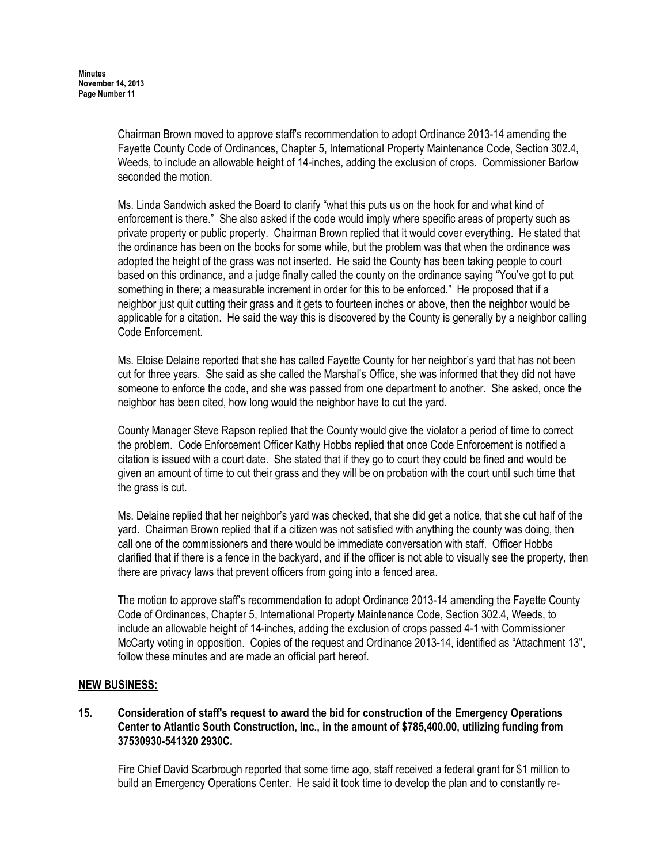Chairman Brown moved to approve staff's recommendation to adopt Ordinance 2013-14 amending the Fayette County Code of Ordinances, Chapter 5, International Property Maintenance Code, Section 302.4, Weeds, to include an allowable height of 14-inches, adding the exclusion of crops. Commissioner Barlow seconded the motion.

Ms. Linda Sandwich asked the Board to clarify "what this puts us on the hook for and what kind of enforcement is there." She also asked if the code would imply where specific areas of property such as private property or public property. Chairman Brown replied that it would cover everything. He stated that the ordinance has been on the books for some while, but the problem was that when the ordinance was adopted the height of the grass was not inserted. He said the County has been taking people to court based on this ordinance, and a judge finally called the county on the ordinance saying "You've got to put something in there; a measurable increment in order for this to be enforced." He proposed that if a neighbor just quit cutting their grass and it gets to fourteen inches or above, then the neighbor would be applicable for a citation. He said the way this is discovered by the County is generally by a neighbor calling Code Enforcement.

Ms. Eloise Delaine reported that she has called Fayette County for her neighbor's yard that has not been cut for three years. She said as she called the Marshal's Office, she was informed that they did not have someone to enforce the code, and she was passed from one department to another. She asked, once the neighbor has been cited, how long would the neighbor have to cut the yard.

County Manager Steve Rapson replied that the County would give the violator a period of time to correct the problem. Code Enforcement Officer Kathy Hobbs replied that once Code Enforcement is notified a citation is issued with a court date. She stated that if they go to court they could be fined and would be given an amount of time to cut their grass and they will be on probation with the court until such time that the grass is cut.

Ms. Delaine replied that her neighbor's yard was checked, that she did get a notice, that she cut half of the yard. Chairman Brown replied that if a citizen was not satisfied with anything the county was doing, then call one of the commissioners and there would be immediate conversation with staff. Officer Hobbs clarified that if there is a fence in the backyard, and if the officer is not able to visually see the property, then there are privacy laws that prevent officers from going into a fenced area.

The motion to approve staff's recommendation to adopt Ordinance 2013-14 amending the Fayette County Code of Ordinances, Chapter 5, International Property Maintenance Code, Section 302.4, Weeds, to include an allowable height of 14-inches, adding the exclusion of crops passed 4-1 with Commissioner McCarty voting in opposition. Copies of the request and Ordinance 2013-14, identified as "Attachment 13", follow these minutes and are made an official part hereof.

#### NEW BUSINESS:

# 15. Consideration of staff's request to award the bid for construction of the Emergency Operations Center to Atlantic South Construction, Inc., in the amount of \$785,400.00, utilizing funding from 37530930-541320 2930C.

Fire Chief David Scarbrough reported that some time ago, staff received a federal grant for \$1 million to build an Emergency Operations Center. He said it took time to develop the plan and to constantly re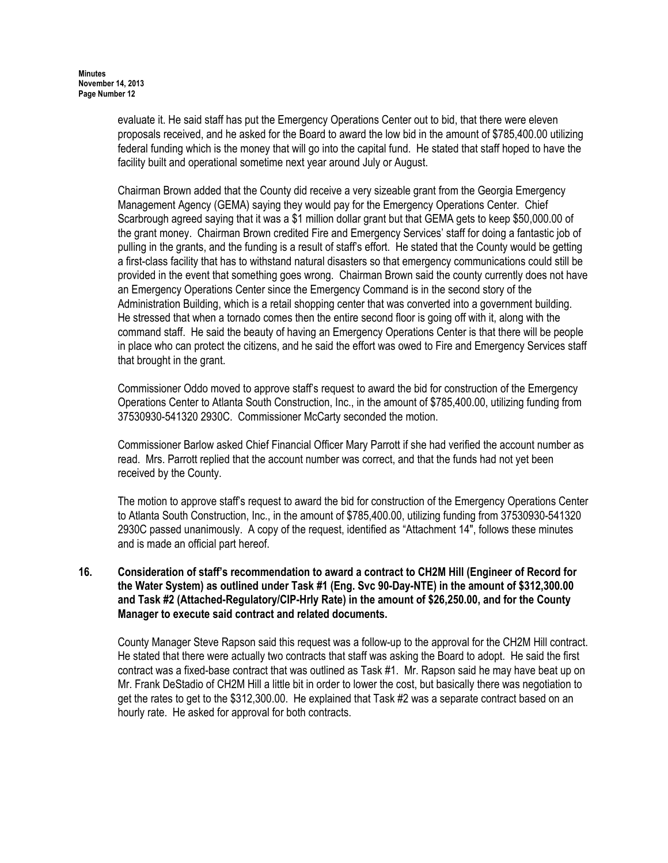evaluate it. He said staff has put the Emergency Operations Center out to bid, that there were eleven proposals received, and he asked for the Board to award the low bid in the amount of \$785,400.00 utilizing federal funding which is the money that will go into the capital fund. He stated that staff hoped to have the facility built and operational sometime next year around July or August.

Chairman Brown added that the County did receive a very sizeable grant from the Georgia Emergency Management Agency (GEMA) saying they would pay for the Emergency Operations Center. Chief Scarbrough agreed saying that it was a \$1 million dollar grant but that GEMA gets to keep \$50,000.00 of the grant money. Chairman Brown credited Fire and Emergency Services' staff for doing a fantastic job of pulling in the grants, and the funding is a result of staff's effort. He stated that the County would be getting a first-class facility that has to withstand natural disasters so that emergency communications could still be provided in the event that something goes wrong. Chairman Brown said the county currently does not have an Emergency Operations Center since the Emergency Command is in the second story of the Administration Building, which is a retail shopping center that was converted into a government building. He stressed that when a tornado comes then the entire second floor is going off with it, along with the command staff. He said the beauty of having an Emergency Operations Center is that there will be people in place who can protect the citizens, and he said the effort was owed to Fire and Emergency Services staff that brought in the grant.

Commissioner Oddo moved to approve staff's request to award the bid for construction of the Emergency Operations Center to Atlanta South Construction, Inc., in the amount of \$785,400.00, utilizing funding from 37530930-541320 2930C. Commissioner McCarty seconded the motion.

Commissioner Barlow asked Chief Financial Officer Mary Parrott if she had verified the account number as read. Mrs. Parrott replied that the account number was correct, and that the funds had not yet been received by the County.

 The motion to approve staff's request to award the bid for construction of the Emergency Operations Center to Atlanta South Construction, Inc., in the amount of \$785,400.00, utilizing funding from 37530930-541320 2930C passed unanimously. A copy of the request, identified as "Attachment 14", follows these minutes and is made an official part hereof.

# 16. Consideration of staff's recommendation to award a contract to CH2M Hill (Engineer of Record for the Water System) as outlined under Task #1 (Eng. Svc 90-Day-NTE) in the amount of \$312,300.00 and Task #2 (Attached-Regulatory/CIP-Hrly Rate) in the amount of \$26,250.00, and for the County Manager to execute said contract and related documents.

County Manager Steve Rapson said this request was a follow-up to the approval for the CH2M Hill contract. He stated that there were actually two contracts that staff was asking the Board to adopt. He said the first contract was a fixed-base contract that was outlined as Task #1. Mr. Rapson said he may have beat up on Mr. Frank DeStadio of CH2M Hill a little bit in order to lower the cost, but basically there was negotiation to get the rates to get to the \$312,300.00. He explained that Task #2 was a separate contract based on an hourly rate. He asked for approval for both contracts.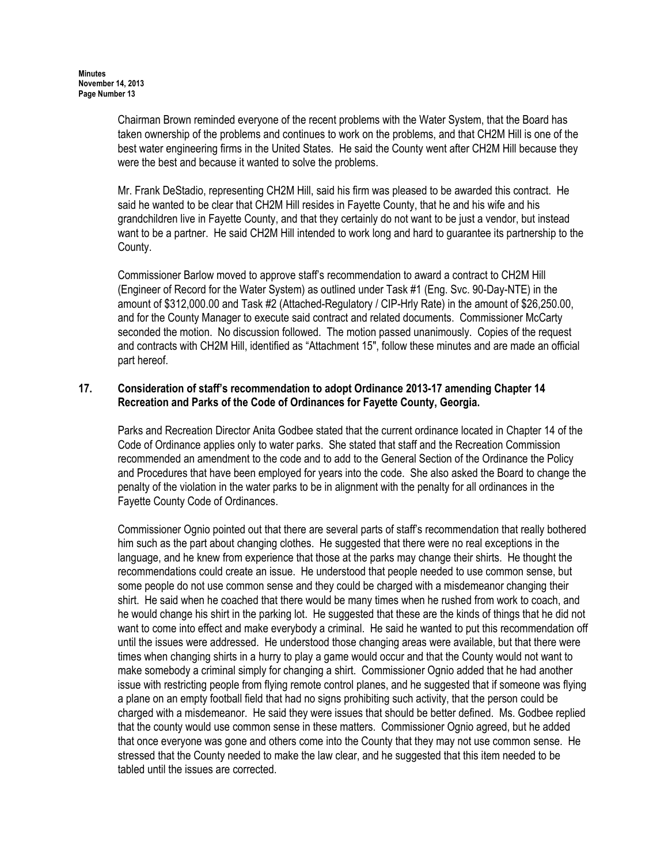Chairman Brown reminded everyone of the recent problems with the Water System, that the Board has taken ownership of the problems and continues to work on the problems, and that CH2M Hill is one of the best water engineering firms in the United States. He said the County went after CH2M Hill because they were the best and because it wanted to solve the problems.

Mr. Frank DeStadio, representing CH2M Hill, said his firm was pleased to be awarded this contract. He said he wanted to be clear that CH2M Hill resides in Fayette County, that he and his wife and his grandchildren live in Fayette County, and that they certainly do not want to be just a vendor, but instead want to be a partner. He said CH2M Hill intended to work long and hard to guarantee its partnership to the County.

Commissioner Barlow moved to approve staff's recommendation to award a contract to CH2M Hill (Engineer of Record for the Water System) as outlined under Task #1 (Eng. Svc. 90-Day-NTE) in the amount of \$312,000.00 and Task #2 (Attached-Regulatory / CIP-Hrly Rate) in the amount of \$26,250.00, and for the County Manager to execute said contract and related documents. Commissioner McCarty seconded the motion. No discussion followed. The motion passed unanimously. Copies of the request and contracts with CH2M Hill, identified as "Attachment 15", follow these minutes and are made an official part hereof.

## 17. Consideration of staff's recommendation to adopt Ordinance 2013-17 amending Chapter 14 Recreation and Parks of the Code of Ordinances for Fayette County, Georgia.

Parks and Recreation Director Anita Godbee stated that the current ordinance located in Chapter 14 of the Code of Ordinance applies only to water parks. She stated that staff and the Recreation Commission recommended an amendment to the code and to add to the General Section of the Ordinance the Policy and Procedures that have been employed for years into the code. She also asked the Board to change the penalty of the violation in the water parks to be in alignment with the penalty for all ordinances in the Fayette County Code of Ordinances.

Commissioner Ognio pointed out that there are several parts of staff's recommendation that really bothered him such as the part about changing clothes. He suggested that there were no real exceptions in the language, and he knew from experience that those at the parks may change their shirts. He thought the recommendations could create an issue. He understood that people needed to use common sense, but some people do not use common sense and they could be charged with a misdemeanor changing their shirt. He said when he coached that there would be many times when he rushed from work to coach, and he would change his shirt in the parking lot. He suggested that these are the kinds of things that he did not want to come into effect and make everybody a criminal. He said he wanted to put this recommendation off until the issues were addressed. He understood those changing areas were available, but that there were times when changing shirts in a hurry to play a game would occur and that the County would not want to make somebody a criminal simply for changing a shirt. Commissioner Ognio added that he had another issue with restricting people from flying remote control planes, and he suggested that if someone was flying a plane on an empty football field that had no signs prohibiting such activity, that the person could be charged with a misdemeanor. He said they were issues that should be better defined. Ms. Godbee replied that the county would use common sense in these matters. Commissioner Ognio agreed, but he added that once everyone was gone and others come into the County that they may not use common sense. He stressed that the County needed to make the law clear, and he suggested that this item needed to be tabled until the issues are corrected.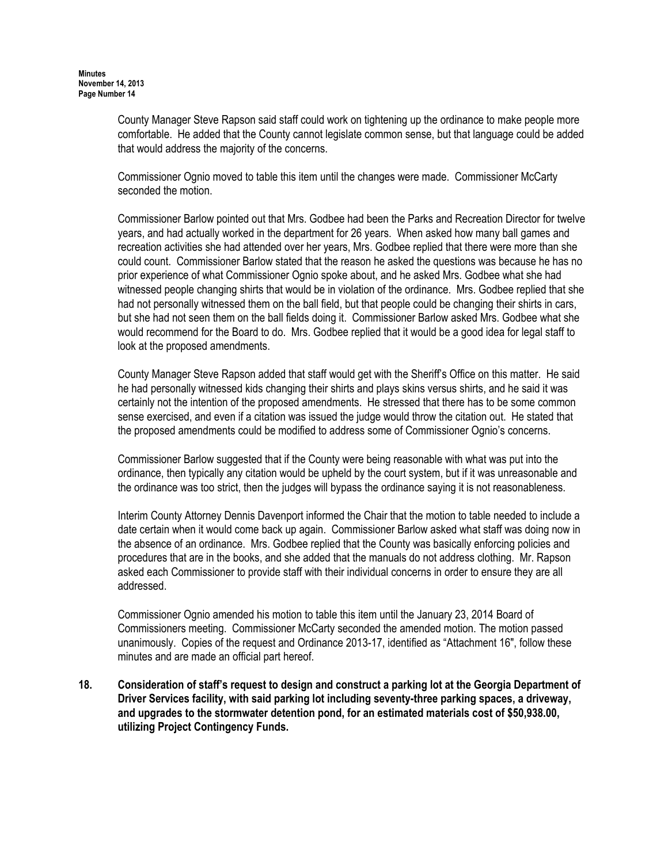County Manager Steve Rapson said staff could work on tightening up the ordinance to make people more comfortable. He added that the County cannot legislate common sense, but that language could be added that would address the majority of the concerns.

Commissioner Ognio moved to table this item until the changes were made. Commissioner McCarty seconded the motion.

Commissioner Barlow pointed out that Mrs. Godbee had been the Parks and Recreation Director for twelve years, and had actually worked in the department for 26 years. When asked how many ball games and recreation activities she had attended over her years, Mrs. Godbee replied that there were more than she could count. Commissioner Barlow stated that the reason he asked the questions was because he has no prior experience of what Commissioner Ognio spoke about, and he asked Mrs. Godbee what she had witnessed people changing shirts that would be in violation of the ordinance. Mrs. Godbee replied that she had not personally witnessed them on the ball field, but that people could be changing their shirts in cars, but she had not seen them on the ball fields doing it. Commissioner Barlow asked Mrs. Godbee what she would recommend for the Board to do. Mrs. Godbee replied that it would be a good idea for legal staff to look at the proposed amendments.

County Manager Steve Rapson added that staff would get with the Sheriff's Office on this matter. He said he had personally witnessed kids changing their shirts and plays skins versus shirts, and he said it was certainly not the intention of the proposed amendments. He stressed that there has to be some common sense exercised, and even if a citation was issued the judge would throw the citation out. He stated that the proposed amendments could be modified to address some of Commissioner Ognio's concerns.

Commissioner Barlow suggested that if the County were being reasonable with what was put into the ordinance, then typically any citation would be upheld by the court system, but if it was unreasonable and the ordinance was too strict, then the judges will bypass the ordinance saying it is not reasonableness.

Interim County Attorney Dennis Davenport informed the Chair that the motion to table needed to include a date certain when it would come back up again. Commissioner Barlow asked what staff was doing now in the absence of an ordinance. Mrs. Godbee replied that the County was basically enforcing policies and procedures that are in the books, and she added that the manuals do not address clothing. Mr. Rapson asked each Commissioner to provide staff with their individual concerns in order to ensure they are all addressed.

Commissioner Ognio amended his motion to table this item until the January 23, 2014 Board of Commissioners meeting. Commissioner McCarty seconded the amended motion. The motion passed unanimously. Copies of the request and Ordinance 2013-17, identified as "Attachment 16", follow these minutes and are made an official part hereof.

18. Consideration of staff's request to design and construct a parking lot at the Georgia Department of Driver Services facility, with said parking lot including seventy-three parking spaces, a driveway, and upgrades to the stormwater detention pond, for an estimated materials cost of \$50,938.00, utilizing Project Contingency Funds.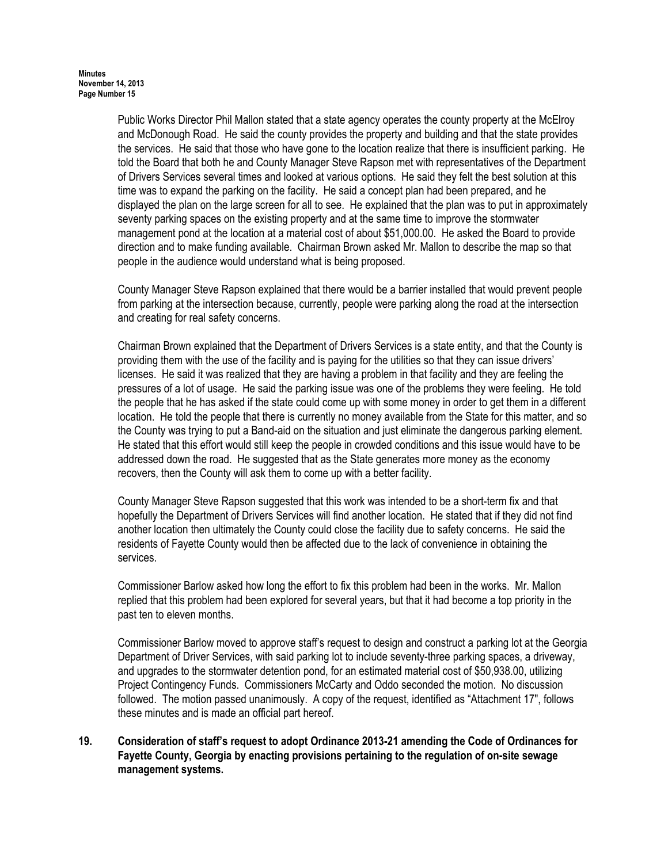Public Works Director Phil Mallon stated that a state agency operates the county property at the McElroy and McDonough Road. He said the county provides the property and building and that the state provides the services. He said that those who have gone to the location realize that there is insufficient parking. He told the Board that both he and County Manager Steve Rapson met with representatives of the Department of Drivers Services several times and looked at various options. He said they felt the best solution at this time was to expand the parking on the facility. He said a concept plan had been prepared, and he displayed the plan on the large screen for all to see. He explained that the plan was to put in approximately seventy parking spaces on the existing property and at the same time to improve the stormwater management pond at the location at a material cost of about \$51,000.00. He asked the Board to provide direction and to make funding available. Chairman Brown asked Mr. Mallon to describe the map so that people in the audience would understand what is being proposed.

County Manager Steve Rapson explained that there would be a barrier installed that would prevent people from parking at the intersection because, currently, people were parking along the road at the intersection and creating for real safety concerns.

Chairman Brown explained that the Department of Drivers Services is a state entity, and that the County is providing them with the use of the facility and is paying for the utilities so that they can issue drivers' licenses. He said it was realized that they are having a problem in that facility and they are feeling the pressures of a lot of usage. He said the parking issue was one of the problems they were feeling. He told the people that he has asked if the state could come up with some money in order to get them in a different location. He told the people that there is currently no money available from the State for this matter, and so the County was trying to put a Band-aid on the situation and just eliminate the dangerous parking element. He stated that this effort would still keep the people in crowded conditions and this issue would have to be addressed down the road. He suggested that as the State generates more money as the economy recovers, then the County will ask them to come up with a better facility.

County Manager Steve Rapson suggested that this work was intended to be a short-term fix and that hopefully the Department of Drivers Services will find another location. He stated that if they did not find another location then ultimately the County could close the facility due to safety concerns. He said the residents of Fayette County would then be affected due to the lack of convenience in obtaining the services.

Commissioner Barlow asked how long the effort to fix this problem had been in the works. Mr. Mallon replied that this problem had been explored for several years, but that it had become a top priority in the past ten to eleven months.

Commissioner Barlow moved to approve staff's request to design and construct a parking lot at the Georgia Department of Driver Services, with said parking lot to include seventy-three parking spaces, a driveway, and upgrades to the stormwater detention pond, for an estimated material cost of \$50,938.00, utilizing Project Contingency Funds. Commissioners McCarty and Oddo seconded the motion. No discussion followed. The motion passed unanimously. A copy of the request, identified as "Attachment 17", follows these minutes and is made an official part hereof.

### 19. Consideration of staff's request to adopt Ordinance 2013-21 amending the Code of Ordinances for Fayette County, Georgia by enacting provisions pertaining to the regulation of on-site sewage management systems.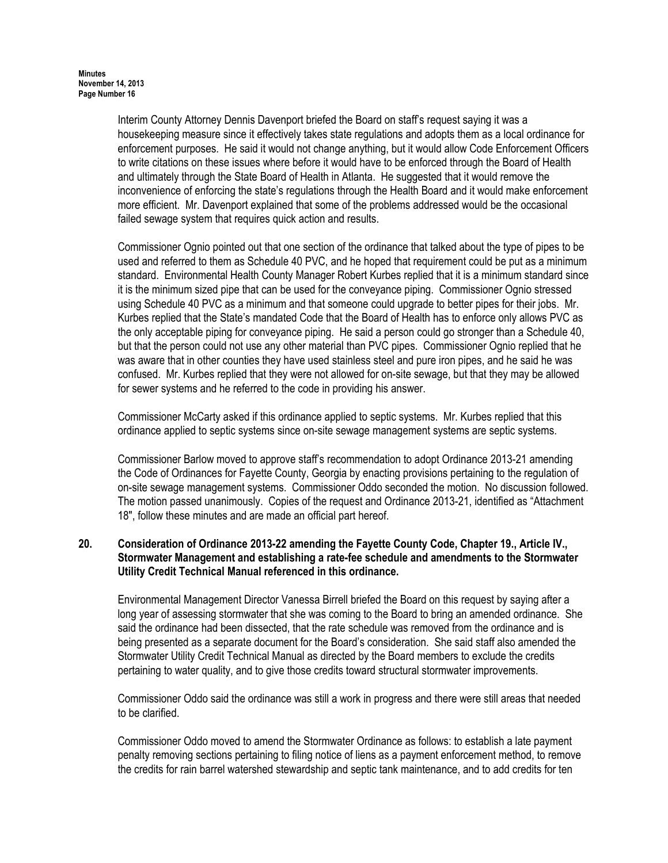Interim County Attorney Dennis Davenport briefed the Board on staff's request saying it was a housekeeping measure since it effectively takes state regulations and adopts them as a local ordinance for enforcement purposes. He said it would not change anything, but it would allow Code Enforcement Officers to write citations on these issues where before it would have to be enforced through the Board of Health and ultimately through the State Board of Health in Atlanta. He suggested that it would remove the inconvenience of enforcing the state's regulations through the Health Board and it would make enforcement more efficient. Mr. Davenport explained that some of the problems addressed would be the occasional failed sewage system that requires quick action and results.

Commissioner Ognio pointed out that one section of the ordinance that talked about the type of pipes to be used and referred to them as Schedule 40 PVC, and he hoped that requirement could be put as a minimum standard. Environmental Health County Manager Robert Kurbes replied that it is a minimum standard since it is the minimum sized pipe that can be used for the conveyance piping. Commissioner Ognio stressed using Schedule 40 PVC as a minimum and that someone could upgrade to better pipes for their jobs. Mr. Kurbes replied that the State's mandated Code that the Board of Health has to enforce only allows PVC as the only acceptable piping for conveyance piping. He said a person could go stronger than a Schedule 40, but that the person could not use any other material than PVC pipes. Commissioner Ognio replied that he was aware that in other counties they have used stainless steel and pure iron pipes, and he said he was confused. Mr. Kurbes replied that they were not allowed for on-site sewage, but that they may be allowed for sewer systems and he referred to the code in providing his answer.

Commissioner McCarty asked if this ordinance applied to septic systems. Mr. Kurbes replied that this ordinance applied to septic systems since on-site sewage management systems are septic systems.

Commissioner Barlow moved to approve staff's recommendation to adopt Ordinance 2013-21 amending the Code of Ordinances for Fayette County, Georgia by enacting provisions pertaining to the regulation of on-site sewage management systems. Commissioner Oddo seconded the motion. No discussion followed. The motion passed unanimously. Copies of the request and Ordinance 2013-21, identified as "Attachment 18", follow these minutes and are made an official part hereof.

# 20. Consideration of Ordinance 2013-22 amending the Fayette County Code, Chapter 19., Article IV., Stormwater Management and establishing a rate-fee schedule and amendments to the Stormwater Utility Credit Technical Manual referenced in this ordinance.

Environmental Management Director Vanessa Birrell briefed the Board on this request by saying after a long year of assessing stormwater that she was coming to the Board to bring an amended ordinance. She said the ordinance had been dissected, that the rate schedule was removed from the ordinance and is being presented as a separate document for the Board's consideration. She said staff also amended the Stormwater Utility Credit Technical Manual as directed by the Board members to exclude the credits pertaining to water quality, and to give those credits toward structural stormwater improvements.

Commissioner Oddo said the ordinance was still a work in progress and there were still areas that needed to be clarified.

Commissioner Oddo moved to amend the Stormwater Ordinance as follows: to establish a late payment penalty removing sections pertaining to filing notice of liens as a payment enforcement method, to remove the credits for rain barrel watershed stewardship and septic tank maintenance, and to add credits for ten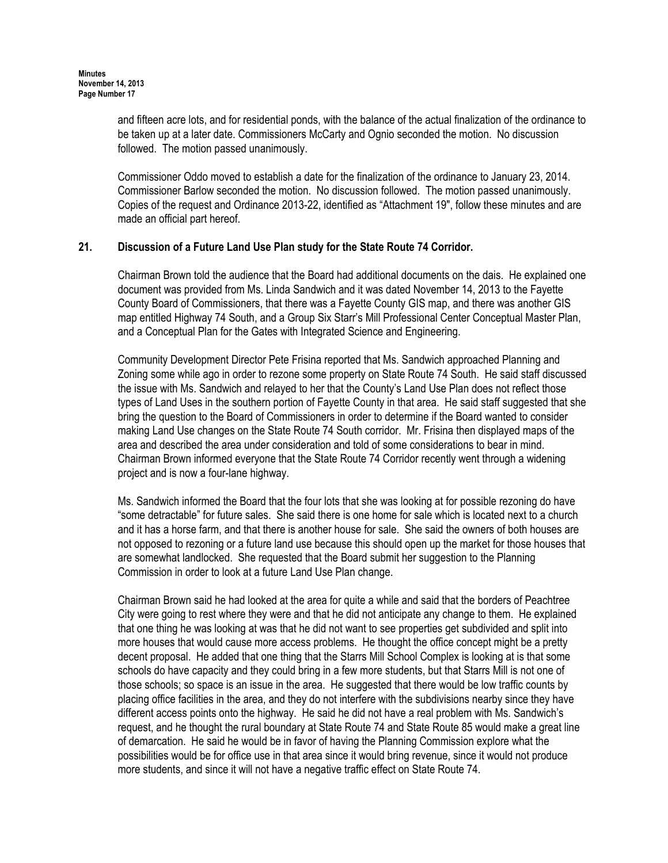and fifteen acre lots, and for residential ponds, with the balance of the actual finalization of the ordinance to be taken up at a later date. Commissioners McCarty and Ognio seconded the motion. No discussion followed. The motion passed unanimously.

Commissioner Oddo moved to establish a date for the finalization of the ordinance to January 23, 2014. Commissioner Barlow seconded the motion. No discussion followed. The motion passed unanimously. Copies of the request and Ordinance 2013-22, identified as "Attachment 19", follow these minutes and are made an official part hereof.

## 21. Discussion of a Future Land Use Plan study for the State Route 74 Corridor.

Chairman Brown told the audience that the Board had additional documents on the dais. He explained one document was provided from Ms. Linda Sandwich and it was dated November 14, 2013 to the Fayette County Board of Commissioners, that there was a Fayette County GIS map, and there was another GIS map entitled Highway 74 South, and a Group Six Starr's Mill Professional Center Conceptual Master Plan, and a Conceptual Plan for the Gates with Integrated Science and Engineering.

Community Development Director Pete Frisina reported that Ms. Sandwich approached Planning and Zoning some while ago in order to rezone some property on State Route 74 South. He said staff discussed the issue with Ms. Sandwich and relayed to her that the County's Land Use Plan does not reflect those types of Land Uses in the southern portion of Fayette County in that area. He said staff suggested that she bring the question to the Board of Commissioners in order to determine if the Board wanted to consider making Land Use changes on the State Route 74 South corridor. Mr. Frisina then displayed maps of the area and described the area under consideration and told of some considerations to bear in mind. Chairman Brown informed everyone that the State Route 74 Corridor recently went through a widening project and is now a four-lane highway.

Ms. Sandwich informed the Board that the four lots that she was looking at for possible rezoning do have "some detractable" for future sales. She said there is one home for sale which is located next to a church and it has a horse farm, and that there is another house for sale. She said the owners of both houses are not opposed to rezoning or a future land use because this should open up the market for those houses that are somewhat landlocked. She requested that the Board submit her suggestion to the Planning Commission in order to look at a future Land Use Plan change.

Chairman Brown said he had looked at the area for quite a while and said that the borders of Peachtree City were going to rest where they were and that he did not anticipate any change to them. He explained that one thing he was looking at was that he did not want to see properties get subdivided and split into more houses that would cause more access problems. He thought the office concept might be a pretty decent proposal. He added that one thing that the Starrs Mill School Complex is looking at is that some schools do have capacity and they could bring in a few more students, but that Starrs Mill is not one of those schools; so space is an issue in the area. He suggested that there would be low traffic counts by placing office facilities in the area, and they do not interfere with the subdivisions nearby since they have different access points onto the highway. He said he did not have a real problem with Ms. Sandwich's request, and he thought the rural boundary at State Route 74 and State Route 85 would make a great line of demarcation. He said he would be in favor of having the Planning Commission explore what the possibilities would be for office use in that area since it would bring revenue, since it would not produce more students, and since it will not have a negative traffic effect on State Route 74.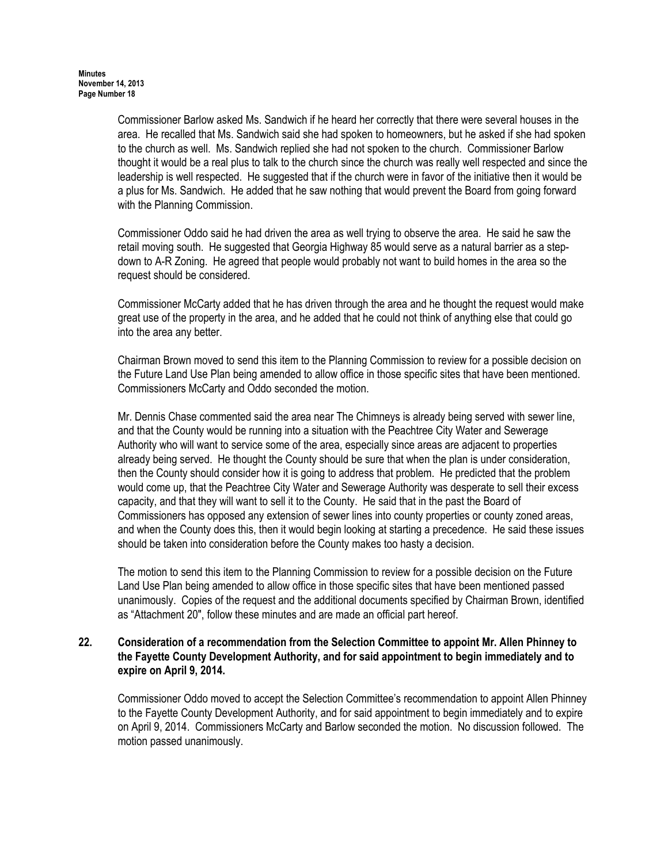Commissioner Barlow asked Ms. Sandwich if he heard her correctly that there were several houses in the area. He recalled that Ms. Sandwich said she had spoken to homeowners, but he asked if she had spoken to the church as well. Ms. Sandwich replied she had not spoken to the church. Commissioner Barlow thought it would be a real plus to talk to the church since the church was really well respected and since the leadership is well respected. He suggested that if the church were in favor of the initiative then it would be a plus for Ms. Sandwich. He added that he saw nothing that would prevent the Board from going forward with the Planning Commission.

Commissioner Oddo said he had driven the area as well trying to observe the area. He said he saw the retail moving south. He suggested that Georgia Highway 85 would serve as a natural barrier as a stepdown to A-R Zoning. He agreed that people would probably not want to build homes in the area so the request should be considered.

Commissioner McCarty added that he has driven through the area and he thought the request would make great use of the property in the area, and he added that he could not think of anything else that could go into the area any better.

Chairman Brown moved to send this item to the Planning Commission to review for a possible decision on the Future Land Use Plan being amended to allow office in those specific sites that have been mentioned. Commissioners McCarty and Oddo seconded the motion.

Mr. Dennis Chase commented said the area near The Chimneys is already being served with sewer line, and that the County would be running into a situation with the Peachtree City Water and Sewerage Authority who will want to service some of the area, especially since areas are adjacent to properties already being served. He thought the County should be sure that when the plan is under consideration, then the County should consider how it is going to address that problem. He predicted that the problem would come up, that the Peachtree City Water and Sewerage Authority was desperate to sell their excess capacity, and that they will want to sell it to the County. He said that in the past the Board of Commissioners has opposed any extension of sewer lines into county properties or county zoned areas, and when the County does this, then it would begin looking at starting a precedence. He said these issues should be taken into consideration before the County makes too hasty a decision.

The motion to send this item to the Planning Commission to review for a possible decision on the Future Land Use Plan being amended to allow office in those specific sites that have been mentioned passed unanimously. Copies of the request and the additional documents specified by Chairman Brown, identified as "Attachment 20", follow these minutes and are made an official part hereof.

### 22. Consideration of a recommendation from the Selection Committee to appoint Mr. Allen Phinney to the Fayette County Development Authority, and for said appointment to begin immediately and to expire on April 9, 2014.

Commissioner Oddo moved to accept the Selection Committee's recommendation to appoint Allen Phinney to the Fayette County Development Authority, and for said appointment to begin immediately and to expire on April 9, 2014. Commissioners McCarty and Barlow seconded the motion. No discussion followed. The motion passed unanimously.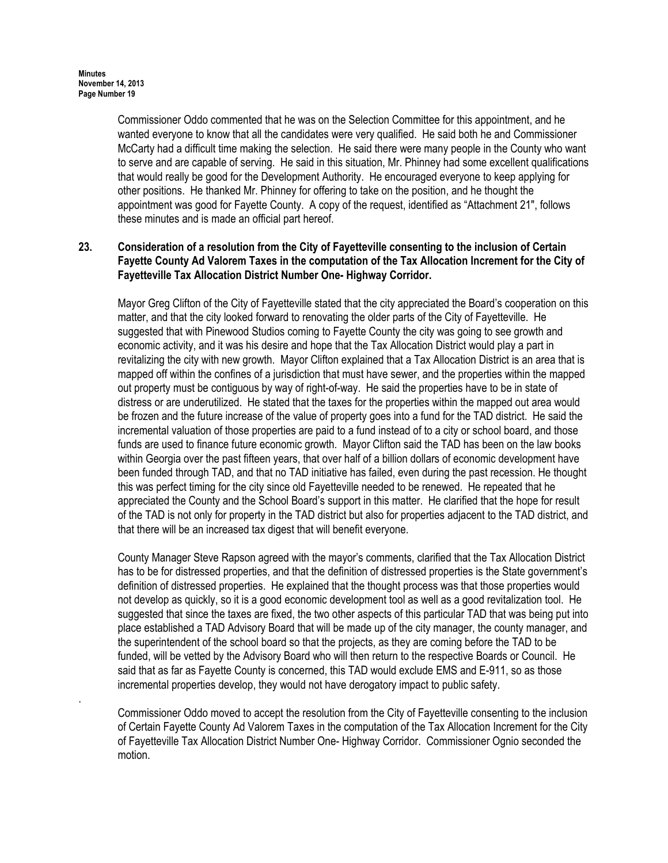.

Commissioner Oddo commented that he was on the Selection Committee for this appointment, and he wanted everyone to know that all the candidates were very qualified. He said both he and Commissioner McCarty had a difficult time making the selection. He said there were many people in the County who want to serve and are capable of serving. He said in this situation, Mr. Phinney had some excellent qualifications that would really be good for the Development Authority. He encouraged everyone to keep applying for other positions. He thanked Mr. Phinney for offering to take on the position, and he thought the appointment was good for Fayette County. A copy of the request, identified as "Attachment 21", follows these minutes and is made an official part hereof.

# 23. Consideration of a resolution from the City of Fayetteville consenting to the inclusion of Certain Fayette County Ad Valorem Taxes in the computation of the Tax Allocation Increment for the City of Fayetteville Tax Allocation District Number One- Highway Corridor.

Mayor Greg Clifton of the City of Fayetteville stated that the city appreciated the Board's cooperation on this matter, and that the city looked forward to renovating the older parts of the City of Fayetteville. He suggested that with Pinewood Studios coming to Fayette County the city was going to see growth and economic activity, and it was his desire and hope that the Tax Allocation District would play a part in revitalizing the city with new growth. Mayor Clifton explained that a Tax Allocation District is an area that is mapped off within the confines of a jurisdiction that must have sewer, and the properties within the mapped out property must be contiguous by way of right-of-way. He said the properties have to be in state of distress or are underutilized. He stated that the taxes for the properties within the mapped out area would be frozen and the future increase of the value of property goes into a fund for the TAD district. He said the incremental valuation of those properties are paid to a fund instead of to a city or school board, and those funds are used to finance future economic growth. Mayor Clifton said the TAD has been on the law books within Georgia over the past fifteen years, that over half of a billion dollars of economic development have been funded through TAD, and that no TAD initiative has failed, even during the past recession. He thought this was perfect timing for the city since old Fayetteville needed to be renewed. He repeated that he appreciated the County and the School Board's support in this matter. He clarified that the hope for result of the TAD is not only for property in the TAD district but also for properties adjacent to the TAD district, and that there will be an increased tax digest that will benefit everyone.

County Manager Steve Rapson agreed with the mayor's comments, clarified that the Tax Allocation District has to be for distressed properties, and that the definition of distressed properties is the State government's definition of distressed properties. He explained that the thought process was that those properties would not develop as quickly, so it is a good economic development tool as well as a good revitalization tool. He suggested that since the taxes are fixed, the two other aspects of this particular TAD that was being put into place established a TAD Advisory Board that will be made up of the city manager, the county manager, and the superintendent of the school board so that the projects, as they are coming before the TAD to be funded, will be vetted by the Advisory Board who will then return to the respective Boards or Council. He said that as far as Fayette County is concerned, this TAD would exclude EMS and E-911, so as those incremental properties develop, they would not have derogatory impact to public safety.

Commissioner Oddo moved to accept the resolution from the City of Fayetteville consenting to the inclusion of Certain Fayette County Ad Valorem Taxes in the computation of the Tax Allocation Increment for the City of Fayetteville Tax Allocation District Number One- Highway Corridor. Commissioner Ognio seconded the motion.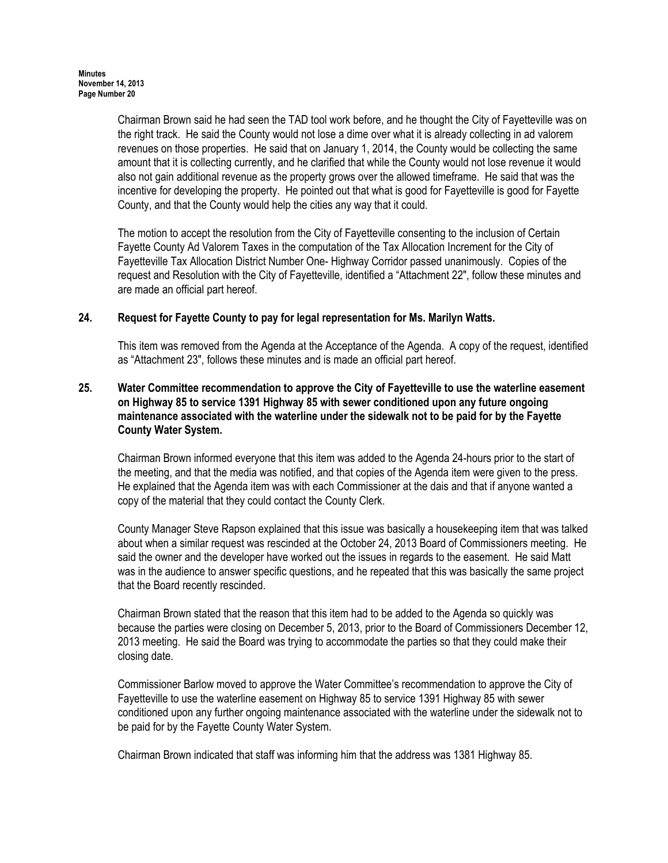Chairman Brown said he had seen the TAD tool work before, and he thought the City of Fayetteville was on the right track. He said the County would not lose a dime over what it is already collecting in ad valorem revenues on those properties. He said that on January 1, 2014, the County would be collecting the same amount that it is collecting currently, and he clarified that while the County would not lose revenue it would also not gain additional revenue as the property grows over the allowed timeframe. He said that was the incentive for developing the property. He pointed out that what is good for Fayetteville is good for Fayette County, and that the County would help the cities any way that it could.

The motion to accept the resolution from the City of Fayetteville consenting to the inclusion of Certain Fayette County Ad Valorem Taxes in the computation of the Tax Allocation Increment for the City of Fayetteville Tax Allocation District Number One- Highway Corridor passed unanimously. Copies of the request and Resolution with the City of Fayetteville, identified a "Attachment 22", follow these minutes and are made an official part hereof.

# 24. Request for Fayette County to pay for legal representation for Ms. Marilyn Watts.

This item was removed from the Agenda at the Acceptance of the Agenda. A copy of the request, identified as "Attachment 23", follows these minutes and is made an official part hereof.

### 25. Water Committee recommendation to approve the City of Fayetteville to use the waterline easement on Highway 85 to service 1391 Highway 85 with sewer conditioned upon any future ongoing maintenance associated with the waterline under the sidewalk not to be paid for by the Fayette County Water System.

Chairman Brown informed everyone that this item was added to the Agenda 24-hours prior to the start of the meeting, and that the media was notified, and that copies of the Agenda item were given to the press. He explained that the Agenda item was with each Commissioner at the dais and that if anyone wanted a copy of the material that they could contact the County Clerk.

County Manager Steve Rapson explained that this issue was basically a housekeeping item that was talked about when a similar request was rescinded at the October 24, 2013 Board of Commissioners meeting. He said the owner and the developer have worked out the issues in regards to the easement. He said Matt was in the audience to answer specific questions, and he repeated that this was basically the same project that the Board recently rescinded.

Chairman Brown stated that the reason that this item had to be added to the Agenda so quickly was because the parties were closing on December 5, 2013, prior to the Board of Commissioners December 12, 2013 meeting. He said the Board was trying to accommodate the parties so that they could make their closing date.

Commissioner Barlow moved to approve the Water Committee's recommendation to approve the City of Fayetteville to use the waterline easement on Highway 85 to service 1391 Highway 85 with sewer conditioned upon any further ongoing maintenance associated with the waterline under the sidewalk not to be paid for by the Fayette County Water System.

Chairman Brown indicated that staff was informing him that the address was 1381 Highway 85.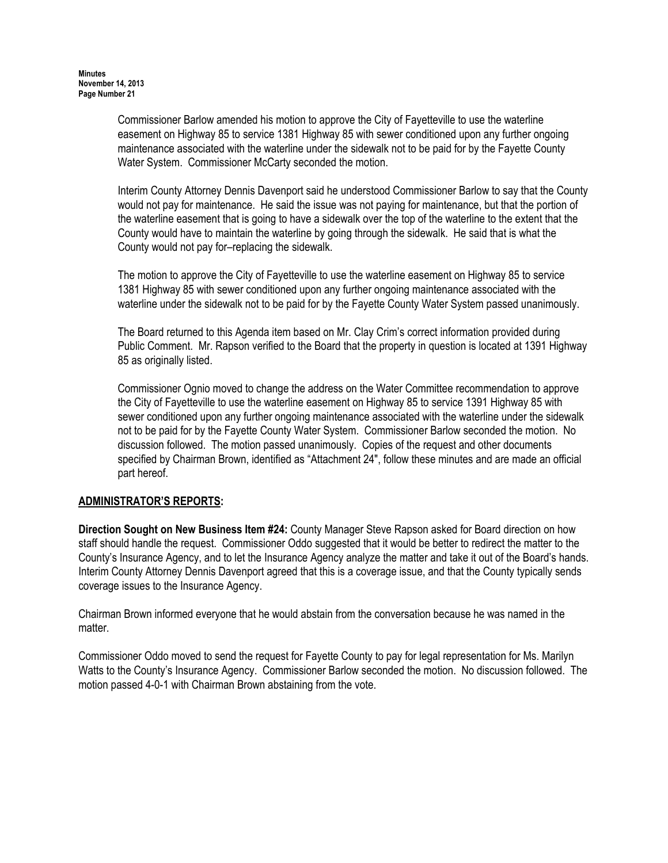Commissioner Barlow amended his motion to approve the City of Fayetteville to use the waterline easement on Highway 85 to service 1381 Highway 85 with sewer conditioned upon any further ongoing maintenance associated with the waterline under the sidewalk not to be paid for by the Fayette County Water System. Commissioner McCarty seconded the motion.

Interim County Attorney Dennis Davenport said he understood Commissioner Barlow to say that the County would not pay for maintenance. He said the issue was not paying for maintenance, but that the portion of the waterline easement that is going to have a sidewalk over the top of the waterline to the extent that the County would have to maintain the waterline by going through the sidewalk. He said that is what the County would not pay for–replacing the sidewalk.

 The motion to approve the City of Fayetteville to use the waterline easement on Highway 85 to service 1381 Highway 85 with sewer conditioned upon any further ongoing maintenance associated with the waterline under the sidewalk not to be paid for by the Fayette County Water System passed unanimously.

The Board returned to this Agenda item based on Mr. Clay Crim's correct information provided during Public Comment. Mr. Rapson verified to the Board that the property in question is located at 1391 Highway 85 as originally listed.

Commissioner Ognio moved to change the address on the Water Committee recommendation to approve the City of Fayetteville to use the waterline easement on Highway 85 to service 1391 Highway 85 with sewer conditioned upon any further ongoing maintenance associated with the waterline under the sidewalk not to be paid for by the Fayette County Water System. Commissioner Barlow seconded the motion. No discussion followed. The motion passed unanimously. Copies of the request and other documents specified by Chairman Brown, identified as "Attachment 24", follow these minutes and are made an official part hereof.

# ADMINISTRATOR'S REPORTS:

Direction Sought on New Business Item #24: County Manager Steve Rapson asked for Board direction on how staff should handle the request. Commissioner Oddo suggested that it would be better to redirect the matter to the County's Insurance Agency, and to let the Insurance Agency analyze the matter and take it out of the Board's hands. Interim County Attorney Dennis Davenport agreed that this is a coverage issue, and that the County typically sends coverage issues to the Insurance Agency.

Chairman Brown informed everyone that he would abstain from the conversation because he was named in the matter.

Commissioner Oddo moved to send the request for Fayette County to pay for legal representation for Ms. Marilyn Watts to the County's Insurance Agency. Commissioner Barlow seconded the motion. No discussion followed. The motion passed 4-0-1 with Chairman Brown abstaining from the vote.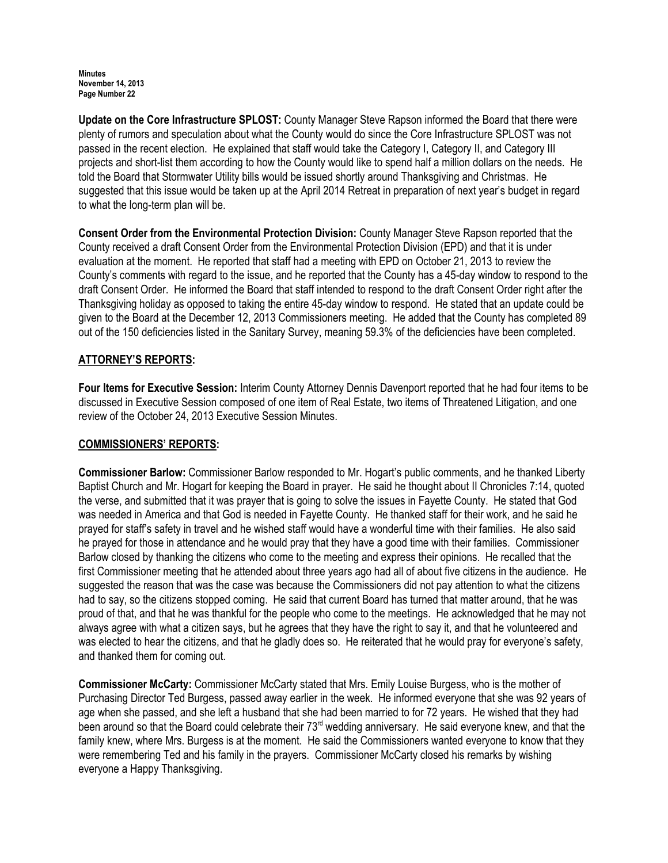Update on the Core Infrastructure SPLOST: County Manager Steve Rapson informed the Board that there were plenty of rumors and speculation about what the County would do since the Core Infrastructure SPLOST was not passed in the recent election. He explained that staff would take the Category I, Category II, and Category III projects and short-list them according to how the County would like to spend half a million dollars on the needs. He told the Board that Stormwater Utility bills would be issued shortly around Thanksgiving and Christmas. He suggested that this issue would be taken up at the April 2014 Retreat in preparation of next year's budget in regard to what the long-term plan will be.

Consent Order from the Environmental Protection Division: County Manager Steve Rapson reported that the County received a draft Consent Order from the Environmental Protection Division (EPD) and that it is under evaluation at the moment. He reported that staff had a meeting with EPD on October 21, 2013 to review the County's comments with regard to the issue, and he reported that the County has a 45-day window to respond to the draft Consent Order. He informed the Board that staff intended to respond to the draft Consent Order right after the Thanksgiving holiday as opposed to taking the entire 45-day window to respond. He stated that an update could be given to the Board at the December 12, 2013 Commissioners meeting. He added that the County has completed 89 out of the 150 deficiencies listed in the Sanitary Survey, meaning 59.3% of the deficiencies have been completed.

# ATTORNEY'S REPORTS:

Four Items for Executive Session: Interim County Attorney Dennis Davenport reported that he had four items to be discussed in Executive Session composed of one item of Real Estate, two items of Threatened Litigation, and one review of the October 24, 2013 Executive Session Minutes.

# COMMISSIONERS' REPORTS:

Commissioner Barlow: Commissioner Barlow responded to Mr. Hogart's public comments, and he thanked Liberty Baptist Church and Mr. Hogart for keeping the Board in prayer. He said he thought about II Chronicles 7:14, quoted the verse, and submitted that it was prayer that is going to solve the issues in Fayette County. He stated that God was needed in America and that God is needed in Fayette County. He thanked staff for their work, and he said he prayed for staff's safety in travel and he wished staff would have a wonderful time with their families. He also said he prayed for those in attendance and he would pray that they have a good time with their families. Commissioner Barlow closed by thanking the citizens who come to the meeting and express their opinions. He recalled that the first Commissioner meeting that he attended about three years ago had all of about five citizens in the audience. He suggested the reason that was the case was because the Commissioners did not pay attention to what the citizens had to say, so the citizens stopped coming. He said that current Board has turned that matter around, that he was proud of that, and that he was thankful for the people who come to the meetings. He acknowledged that he may not always agree with what a citizen says, but he agrees that they have the right to say it, and that he volunteered and was elected to hear the citizens, and that he gladly does so. He reiterated that he would pray for everyone's safety, and thanked them for coming out.

Commissioner McCarty: Commissioner McCarty stated that Mrs. Emily Louise Burgess, who is the mother of Purchasing Director Ted Burgess, passed away earlier in the week. He informed everyone that she was 92 years of age when she passed, and she left a husband that she had been married to for 72 years. He wished that they had been around so that the Board could celebrate their 73<sup>rd</sup> wedding anniversary. He said everyone knew, and that the family knew, where Mrs. Burgess is at the moment. He said the Commissioners wanted everyone to know that they were remembering Ted and his family in the prayers. Commissioner McCarty closed his remarks by wishing everyone a Happy Thanksgiving.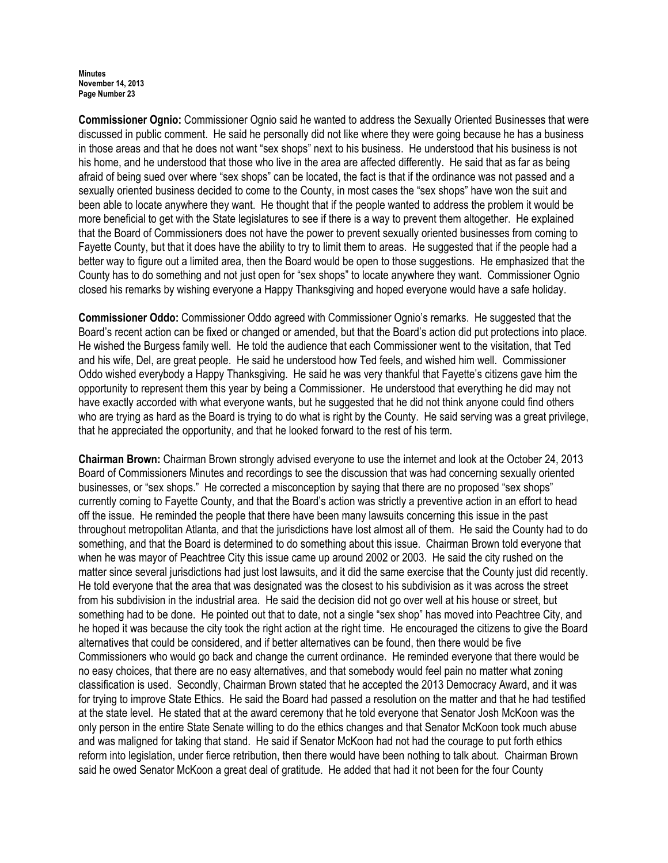Commissioner Ognio: Commissioner Ognio said he wanted to address the Sexually Oriented Businesses that were discussed in public comment. He said he personally did not like where they were going because he has a business in those areas and that he does not want "sex shops" next to his business. He understood that his business is not his home, and he understood that those who live in the area are affected differently. He said that as far as being afraid of being sued over where "sex shops" can be located, the fact is that if the ordinance was not passed and a sexually oriented business decided to come to the County, in most cases the "sex shops" have won the suit and been able to locate anywhere they want. He thought that if the people wanted to address the problem it would be more beneficial to get with the State legislatures to see if there is a way to prevent them altogether. He explained that the Board of Commissioners does not have the power to prevent sexually oriented businesses from coming to Fayette County, but that it does have the ability to try to limit them to areas. He suggested that if the people had a better way to figure out a limited area, then the Board would be open to those suggestions. He emphasized that the County has to do something and not just open for "sex shops" to locate anywhere they want. Commissioner Ognio closed his remarks by wishing everyone a Happy Thanksgiving and hoped everyone would have a safe holiday.

Commissioner Oddo: Commissioner Oddo agreed with Commissioner Ognio's remarks. He suggested that the Board's recent action can be fixed or changed or amended, but that the Board's action did put protections into place. He wished the Burgess family well. He told the audience that each Commissioner went to the visitation, that Ted and his wife, Del, are great people. He said he understood how Ted feels, and wished him well. Commissioner Oddo wished everybody a Happy Thanksgiving. He said he was very thankful that Fayette's citizens gave him the opportunity to represent them this year by being a Commissioner. He understood that everything he did may not have exactly accorded with what everyone wants, but he suggested that he did not think anyone could find others who are trying as hard as the Board is trying to do what is right by the County. He said serving was a great privilege, that he appreciated the opportunity, and that he looked forward to the rest of his term.

Chairman Brown: Chairman Brown strongly advised everyone to use the internet and look at the October 24, 2013 Board of Commissioners Minutes and recordings to see the discussion that was had concerning sexually oriented businesses, or "sex shops." He corrected a misconception by saying that there are no proposed "sex shops" currently coming to Fayette County, and that the Board's action was strictly a preventive action in an effort to head off the issue. He reminded the people that there have been many lawsuits concerning this issue in the past throughout metropolitan Atlanta, and that the jurisdictions have lost almost all of them. He said the County had to do something, and that the Board is determined to do something about this issue. Chairman Brown told everyone that when he was mayor of Peachtree City this issue came up around 2002 or 2003. He said the city rushed on the matter since several jurisdictions had just lost lawsuits, and it did the same exercise that the County just did recently. He told everyone that the area that was designated was the closest to his subdivision as it was across the street from his subdivision in the industrial area. He said the decision did not go over well at his house or street, but something had to be done. He pointed out that to date, not a single "sex shop" has moved into Peachtree City, and he hoped it was because the city took the right action at the right time. He encouraged the citizens to give the Board alternatives that could be considered, and if better alternatives can be found, then there would be five Commissioners who would go back and change the current ordinance. He reminded everyone that there would be no easy choices, that there are no easy alternatives, and that somebody would feel pain no matter what zoning classification is used. Secondly, Chairman Brown stated that he accepted the 2013 Democracy Award, and it was for trying to improve State Ethics. He said the Board had passed a resolution on the matter and that he had testified at the state level. He stated that at the award ceremony that he told everyone that Senator Josh McKoon was the only person in the entire State Senate willing to do the ethics changes and that Senator McKoon took much abuse and was maligned for taking that stand. He said if Senator McKoon had not had the courage to put forth ethics reform into legislation, under fierce retribution, then there would have been nothing to talk about. Chairman Brown said he owed Senator McKoon a great deal of gratitude. He added that had it not been for the four County